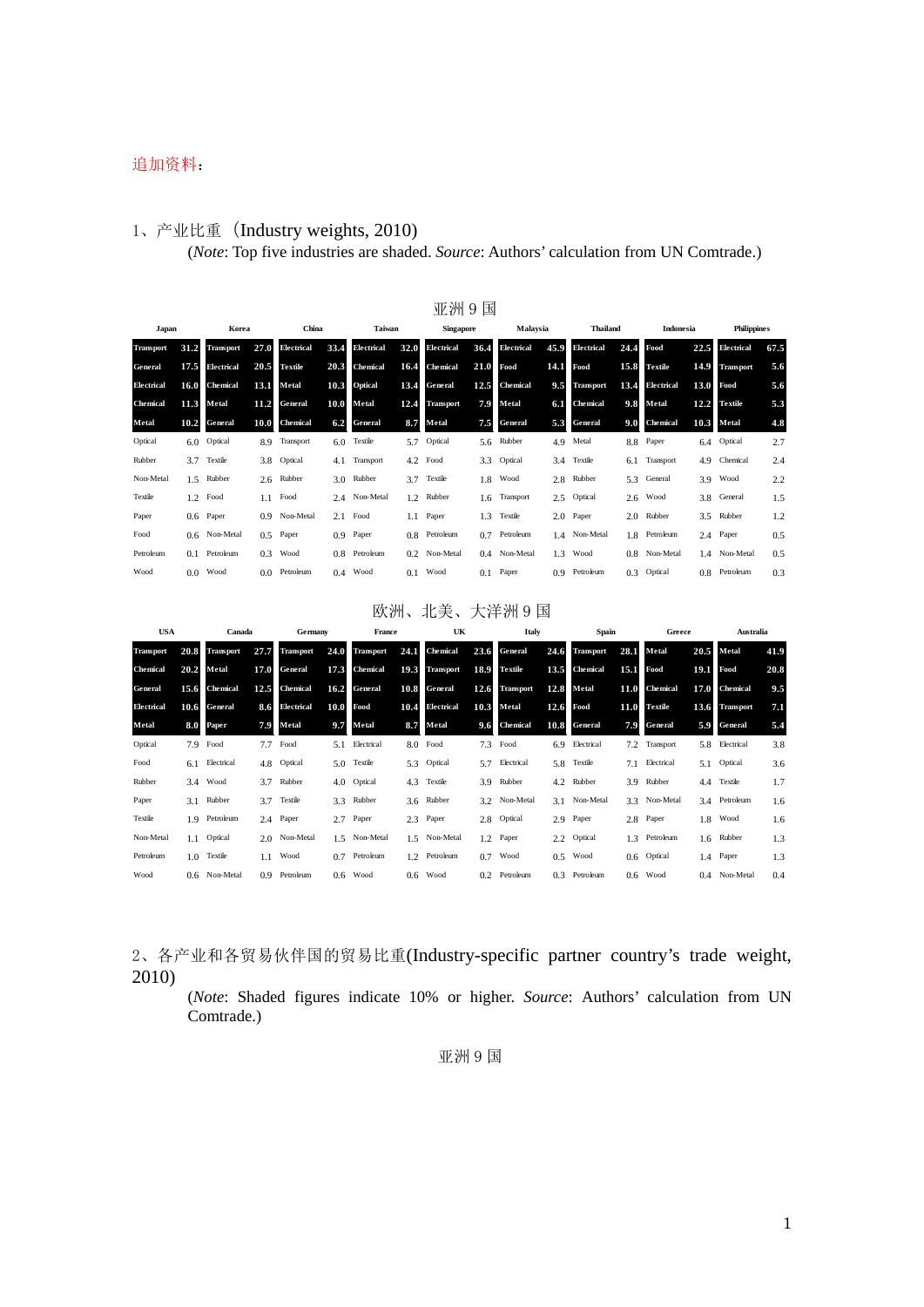#### 追加资料:

#### 1、产业比重(Industry weights, 2010) (*Note*: Top five industries are shaded. *Source*: Authors' calculation from UN Comtrade.)

|                  |               |                  |               |                   |      |                |      | 亚洲9国             |      |               |                  |                   |      |                 |      |                    |      |
|------------------|---------------|------------------|---------------|-------------------|------|----------------|------|------------------|------|---------------|------------------|-------------------|------|-----------------|------|--------------------|------|
| Japan            |               | Korea            |               | China             |      | Taiwan         |      | <b>Singapore</b> |      | Malaysia      |                  | <b>Thailand</b>   |      | Indonesia       |      | <b>Philippines</b> |      |
| <b>Transport</b> | 31.2          | <b>Transport</b> | 27.0          | <b>Electrical</b> | 33.4 | Electrical     | 32.0 | Electrical       | 36.4 | Electrical    | 45.9             | <b>Electrical</b> | 24.4 | Food            | 22.5 | Electrical         | 67.5 |
| General          | 17.5          | Electrical       | 20.5          | Textile           | 20.3 | Chemical       | 16.4 | Chemical         | 21.0 | Food          | 14.1             | Food              | 15.8 | <b>Textile</b>  | 14.9 | <b>Transport</b>   | 5.6  |
| Electrical       | 16.0          | <b>Chemical</b>  | 13.1          | Metal             | 10.3 | <b>Optical</b> | 13.4 | General          | 12.5 | Chemical      | 9.5              | <b>Transport</b>  | 13.4 | Electrical      | 13.0 | Food               | 5.6  |
| Chemical         | 11.3          | Metal            | 11.2          | General           | 10.0 | Metal          | 12.4 | <b>Transport</b> | 7.9  | Metal         | 6.1              | Chemical          | 9.8  | Metal           | 12.2 | <b>Textile</b>     | 5.3  |
| Metal            | 10.2          | General          | 10.0          | <b>Chemical</b>   | 6.2  | <b>General</b> |      | 8.7 Metal        | 7.5  | General       | 5.3              | General           | 9.0  | <b>Chemical</b> | 10.3 | Metal              | 4.8  |
| Optical          | $6.0^{\circ}$ | Optical          | 8.9           | Transport         | 6.0  | Textile        |      | 5.7 Optical      |      | 5.6 Rubber    | 4.9              | Metal             | 8.8  | Paper           | 6.4  | Optical            | 2.7  |
| Rubber           | 3.7           | Textile          |               | 3.8 Optical       | 4.1  | Transport      |      | 4.2 Food         | 3.3  | Optical       | 3.4              | Textile           |      | 6.1 Transport   | 4.9  | Chemical           | 2.4  |
| Non-Metal        |               | 1.5 Rubber       | 2.6           | Rubber            | 3.0  | Rubber         | 3.7  | Textile          | 1.8  | Wood          | 2.8              | Rubber            |      | 5.3 General     | 3.9  | Wood               | 2.2  |
| Textile          |               | $1.2$ Food       | 1.1           | Food              |      | 2.4 Non-Metal  |      | 1.2 Rubber       |      | 1.6 Transport | 2.5              | Optical           |      | $2.6$ Wood      | 3.8  | General            | 1.5  |
| Paper            |               | $0.6$ Paper      |               | 0.9 Non-Metal     | 2.1  | Food           |      | 1.1 Paper        | 1.3  | Textile       | 2.0              | Paper             |      | 2.0 Rubber      | 3.5  | Rubber             | 1.2  |
| Food             |               | 0.6 Non-Metal    | $0.5^{\circ}$ | Paper             | 0.9  | Paper          |      | 0.8 Petroleum    | 0.7  | Petroleum     |                  | 1.4 Non-Metal     |      | 1.8 Petroleum   |      | 2.4 Paper          | 0.5  |
| Petroleum        |               | $0.1$ Petroleum  | 0.3           | Wood              |      | 0.8 Petroleum  |      | 0.2 Non-Metal    |      | 0.4 Non-Metal | 1.3              | Wood              |      | 0.8 Non-Metal   |      | 1.4 Non-Metal      | 0.5  |
| Wood             |               | $0.0$ Wood       |               | 0.0 Petroleum     | 0.4  | Wood           |      | $0.1$ Wood       |      | $0.1$ Paper   | 0.9 <sub>z</sub> | Petroleum         |      | 0.3 Optical     |      | 0.8 Petroleum      | 0.3  |

#### 欧洲、北美、大洋洲 9 国

| <b>USA</b>        |      | Canada           |                  | Germany          |      | France           |      | UK               |      | Italy            |               | Spain            |      | Greece          |               | <b>Australia</b> |      |
|-------------------|------|------------------|------------------|------------------|------|------------------|------|------------------|------|------------------|---------------|------------------|------|-----------------|---------------|------------------|------|
| <b>Transport</b>  | 20.8 | <b>Transport</b> | 27.7             | <b>Transport</b> | 24.0 | <b>Transport</b> | 24.1 | Chemical         | 23.6 | General          | 24.6          | <b>Transport</b> | 28.1 | Metal           | 20.5          | Metal            | 41.9 |
| <b>Chemical</b>   | 20.2 | Metal            | 17.0             | General          | 17.3 | <b>Chemical</b>  | 19.3 | <b>Transport</b> | 18.9 | <b>Textile</b>   | 13.5          | <b>Chemical</b>  | 15.1 | Food            | 19.1          | Food             | 20.8 |
| General           | 15.6 | <b>Chemical</b>  | 12.5             | Chemical         | 16.2 | <b>General</b>   | 10.8 | <b>General</b>   | 12.6 | <b>Transport</b> | 12.8          | Metal            | 11.0 | <b>Chemical</b> | 17.0          | Chemical         | 9.5  |
| <b>Electrical</b> | 10.6 | General          | 8.6              | Electrical       | 10.0 | Food             | 10.4 | Electrical       | 10.3 | Metal            | 12.6          | Food             | 11.0 | <b>Textile</b>  | 13.6          | <b>Transport</b> | 7.1  |
| Metal             | 8.0  | <b>Paper</b>     | 7.9              | Metal            | 9.7  | Metal            | 8.7  | Metal            | 9.6  | <b>Chemical</b>  | 10.8          | General          | 7.9  | General         | 5.9           | General          | 5.4  |
| Optical           |      | 7.9 Food         | 7.7              | Food             |      | 5.1 Electrical   |      | $8.0$ Food       | 7.3  | Food             |               | 6.9 Electrical   |      | 7.2 Transport   | 5.8           | Electrical       | 3.8  |
| Food              |      | 6.1 Electrical   |                  | 4.8 Optical      | 5.0  | Textile          |      | 5.3 Optical      |      | 5.7 Electrical   |               | 5.8 Textile      | 7.1  | Electrical      | 5.1           | Optical          | 3.6  |
| Rubber            |      | 3.4 Wood         | 3.7              | Rubber           | 4.0  | Optical          |      | 4.3 Textile      | 3.9  | Rubber           |               | 4.2 Rubber       | 3.9  | Rubber          | $4.4^{\circ}$ | Textile          | 1.7  |
| Paper             |      | 3.1 Rubber       |                  | 3.7 Textile      | 3.3  | Rubber           |      | 3.6 Rubber       |      | 3.2 Non-Metal    |               | 3.1 Non-Metal    |      | 3.3 Non-Metal   |               | 3.4 Petroleum    | 1.6  |
| Textile           |      | 1.9 Petroleum    |                  | 2.4 Paper        |      | 2.7 Paper        |      | 2.3 Paper        |      | 2.8 Optical      |               | 2.9 Paper        |      | 2.8 Paper       | 1.8           | Wood             | 1.6  |
| Non-Metal         |      | 1.1 Optical      |                  | 2.0 Non-Metal    |      | 1.5 Non-Metal    |      | 1.5 Non-Metal    |      | 1.2 Paper        |               | 2.2 Optical      |      | 1.3 Petroleum   |               | 1.6 Rubber       | 1.3  |
| Petroleum         |      | 1.0 Textile      | 1.1              | Wood             | 0.7  | Petroleum        |      | 1.2 Petroleum    | 0.7  | Wood             | $0.5^{\circ}$ | Wood             |      | 0.6 Optical     |               | 1.4 Paper        | 1.3  |
| Wood              |      | 0.6 Non-Metal    | 0.9 <sup>°</sup> | Petroleum        |      | $0.6$ Wood       |      | $0.6$ Wood       |      | 0.2 Petroleum    |               | 0.3 Petroleum    |      | $0.6$ Wood      |               | 0.4 Non-Metal    | 0.4  |

2、各产业和各贸易伙伴国的贸易比重(Industry-specific partner country's trade weight, 2010)

(*Note*: Shaded figures indicate 10% or higher. *Source*: Authors' calculation from UN Comtrade.)

亚洲 9 国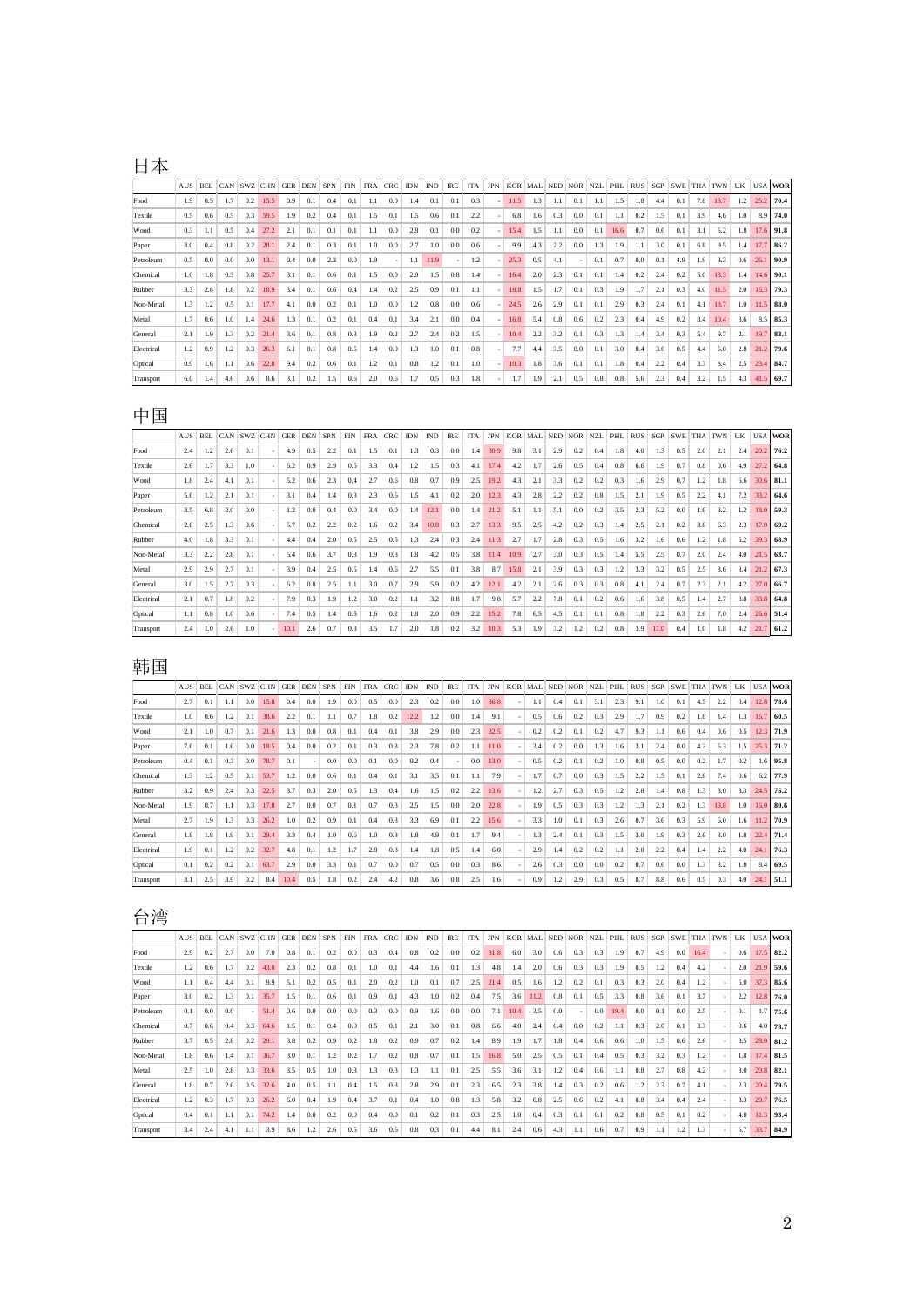## 日本

|            | <b>AUS</b> | <b>BEL</b> | CAN | <b>SWZ</b> | <b>CHN</b> | <b>GER</b> | <b>DEN</b> | <b>SPN</b> | <b>FIN</b> | <b>FRA</b> | <b>GRC</b> | <b>IDN</b> | <b>IND</b> | <b>IRE</b> | <b>ITA</b> | <b>JPN</b>               | <b>KOR</b> | MAL              | <b>NED</b> | <b>NOR</b> | <b>NZL</b> | PHL  | <b>RUS</b> | SGP | <b>SWE</b> | <b>THA</b> | <b>TWN</b> | UK  | <b>USA</b> | <b>WOR</b> |
|------------|------------|------------|-----|------------|------------|------------|------------|------------|------------|------------|------------|------------|------------|------------|------------|--------------------------|------------|------------------|------------|------------|------------|------|------------|-----|------------|------------|------------|-----|------------|------------|
| Food       | 1.9        | 0.5        | 1.7 | 0.2        | 15.5       | 0.9        | 0.1        | 0.4        | 0.1        | 1.1        | 0.0        | 1.4        | 0.1        | 0.1        | 0.3        |                          | 11.5       | 1.3              | 1.1        | 0.1        |            | 1.5  | 1.8        | 4.4 | 0.1        | 7.8        | 18.7       | 1.2 | 25.2       | 70.4       |
| Textile    | 0.5        | 0.6        | 0.5 | 0.3        | 59.5       | 1.9        | 0.2        | 0.4        | 0.1        | 1.5        | 0.1        | 1.5        | 0.6        | 0.1        | 2.2        | $\sim$                   | 6.8        | $1.6\phantom{0}$ | 0.3        | 0.0        | 0.1        | 1.1  | 0.2        | 1.5 | 0.1        | 3.9        | 4.6        | 1.0 | 8.9        | 74.0       |
| Wood       | 0.3        |            | 0.5 | 0.4        | 27.2       | 2.1        | 0.1        | 0.1        | 0.1        | 1.1        | 0.0        | 2.8        | 0.1        | 0.0        | 0.2        |                          | 15.4       | 1.5              | 1.1        | 0.0        | 0.1        | 16.6 | 0.7        | 0.6 | 0.1        | 3.1        | 5.2        | 1.8 | 17.6       | 91.8       |
| Paper      | 3.0        | 0.4        | 0.8 | 0.2        | 28.1       | 2.4        | 0.1        | 0.3        | 0.1        | 1.0        | 0.0        | 2.7        | 1.0        | 0.0        | 0.6        | $\sim$                   | 9.9        | 4.3              | 2.2        | 0.0        | 1.3        | 1.9  | 1.1        | 3.0 | 0.1        | 6.8        | 9.5        | 1.4 | 17.7       | 86.2       |
| Petroleum  | 0.5        | 0.0        | 0.0 | 0.0        | 13.1       | 0.4        | 0.0        | 2.2        | 0.0        | 1.9        |            | 1.1        | 11.9       |            | 1.2        |                          | 25.3       | 0.5              | 4.1        |            | 0.1        | 0.7  | 0.0        | 0.1 | 4.9        | 1.9        | 3.3        | 0.6 | 26.1       | 90.9       |
| Chemical   | 1.0        | 1.8        | 0.3 | 0.8        | 25.7       | 3.1        | 0.1        | 0.6        | 0.1        | 1.5        | 0.0        | 2.0        | 1.5        | 0.8        | 1.4        | $\overline{\phantom{a}}$ | 16.4       | 2.0              | 2.3        | 0.1        | 0.1        | 1.4  | 0.2        | 2.4 | 0.2        | 5.0        | 13.3       | 1.4 | 14.6       | 90.1       |
| Rubber     | 3.3        | 2.8        | 1.8 | 0.2        | 18.9       | 3.4        | 0.1        | 0.6        | 0.4        | 1.4        | 0.2        | 2.5        | 0.9        | 0.1        | 1.1        | $\overline{\phantom{a}}$ | 18.8       | 1.5              | 1.7        | 0.1        | 0.3        | 1.9  | 1.7        | 2.1 | 0.3        | 4.0        | 11.5       | 2.0 | 16.3       | 79.3       |
| Non-Metal  | 1.3        |            | 0.5 | 0.1        | 17.7       | 4.1        | 0.0        | 0.2        | 0.1        | 1.0        | 0.0        | 1.2        | 0.8        | 0.0        | 0.6        |                          | 24.5       | 2.6              | 2.9        | 0.1        | 0.1        | 2.9  | 0.3        | 2.4 | 0.1        | 4.1        | 18.7       | 1.0 | 11.5       | 88.0       |
| Metal      | 1.7        | 0.6        | 1.0 | 1.4        | 24.6       | 1.3        | 0.1        | 0.2        | 0.1        | 0.4        | 0.1        | 3.4        | 2.1        | 0.0        | 0.4        | $\overline{\phantom{a}}$ | 16.8       | 5.4              | 0.8        | 0.6        | 0.2        | 2.3  | 0.4        | 4.9 | 0.2        | 8.4        | 10.4       | 3.6 |            | 8.5 85.3   |
| General    | 2.1        | 1.9        | 1.3 | 0.2        | 21.4       | 3.6        | 0.1        | 0.8        | 0.3        | 1.9        | 0.2        | 2.7        | 2.4        | 0.2        | 1.5        | $\overline{\phantom{a}}$ | 10.4       | 2.2              | 3.2        | 0.1        | 0.3        | 1.3  | 1.4        | 3.4 | 0.3        | 5.4        | 9.7        | 2.1 | 19.7       | 83.1       |
| Electrical | 1.2        | 0.9        | 1.2 | 0.3        | 26.3       | 6.1        | 0.1        | 0.8        | 0.5        | 1.4        | 0.0        | 1.3        | 1.0        | 0.1        | 0.8        | $\sim$                   | 7.7        | 4.4              | 3.5        | 0.0        | 0.1        | 3.0  | 0.4        | 3.6 | 0.5        | 4.4        | 6.0        | 2.8 | 21.2       | 79.6       |
| Optical    | 0.9        | 1.6        | 1.1 | 0.6        | 22.8       | 9.4        | 0.2        | 0.6        | 0.1        | 1.2        | 0.1        | 0.8        | 1.2        | 0.1        | 1.0        | $\overline{\phantom{a}}$ | 10.3       | 1.8              | 3.6        | 0.1        | 0.1        | 1.8  | 0.4        | 2.2 | 0.4        | 3.3        | 8.4        | 2.5 | 23.4       | 84.7       |
| Transport  | 6.0        | 1.4        | 4.6 | 0.6        | 8.6        | 3.1        | 0.2        | 1.5        | 0.6        | 2.0        | 0.6        | 1.7        | 0.5        | 0.3        | 1.8        |                          | 1.7        | 1.9              | 2.1        | 0.5        | 0.8        | 0.8  | 5.6        | 2.3 | 0.4        | 3.2        | 1.5        | 4.3 | 41.5       | 69.7       |

## 中国

|            | <b>AUS</b> | <b>BEL</b> | CAN | SWZ CHN | <b>GER</b> | <b>DEN</b> | <b>SPN</b> | <b>FIN</b> | <b>FRA</b> | GRC | <b>IDN</b> | <b>IND</b> | <b>IRE</b> | <b>ITA</b> | <b>JPN</b> | <b>KOR</b> | <b>MAL</b> | <b>NED</b> | <b>NOR</b> | <b>NZL</b> | PHL | <b>RUS</b> | SGP  | <b>SWE</b> | THA | <b>TWN</b> | UK  |      | <b>USA WOR</b> |
|------------|------------|------------|-----|---------|------------|------------|------------|------------|------------|-----|------------|------------|------------|------------|------------|------------|------------|------------|------------|------------|-----|------------|------|------------|-----|------------|-----|------|----------------|
| Food       | 2.4        | 1.2        | 2.6 | 0.1     | 4.9        | 0.5        | 2.2        | 0.1        | 1.5        | 0.1 | 1.3        | 0.3        | 0.0        | 1.4        | 30.9       | 9.8        | 3.1        | 2.9        | 0.2        | 0.4        | 1.8 | 4.0        | 1.3  | 0.5        | 2.0 | 2.1        | 2.4 | 20.2 | 76.2           |
| Textile    | 2.6        | 1.7        | 3.3 | 1.0     | 6.2        | 0.9        | 2.9        | 0.5        | 3.3        | 0.4 | 1.2        | 1.5        | 0.3        | 4.1        | 17.4       | 4.2        | 1.7        | 2.6        | 0.5        | 0.4        | 0.8 | 6.6        | 1.9  | 0.7        | 0.8 | 0.6        | 4.9 | 27.2 | 64.8           |
| Wood       | 1.8        | 2.4        | 4.1 | 0.1     | 5.2        | 0.6        | 2.3        | 0.4        | 2.7        | 0.6 | 0.8        | 0.7        | 0.9        | 2.5        | 19.2       | 4.3        | 2.1        | 3.3        | 0.2        | 0.2        | 0.3 | 1.6        | 2.9  | 0.7        | 1.2 | 1.8        | 6.6 | 30.6 | 81.1           |
| Paper      | 5.6        | 1.2        | 2.1 | 0.1     | 3.1        | 0.4        | 1.4        | 0.3        | 2.3        | 0.6 | 1.5        | 4.1        | 0.2        | 2.0        | 12.3       | 4.3        | 2.8        | 2.2        | 0.2        | 0.8        | 1.5 | 2.1        | 1.9  | 0.5        | 2.2 | 4.1        | 7.2 | 33.2 | 64.6           |
| Petroleum  | 3.5        | 6.8        | 2.0 | 0.0     | 1.2        | 0.0        | 0.4        | 0.0        | 3.4        | 0.0 | 1.4        | 12.1       | 0.0        | 1.4        | 21.2       | 5.1        | 1.1        | 5.1        | 0.0        | 0.2        | 3.5 | 2.3        | 5.2  | 0.0        | 1.6 | 3.2        | 1.2 | 18.0 | 59.3           |
| Chemical   | 2.6        | 2.5        | 1.3 | 0.6     | 5.7        | 0.2        | 2.2        | 0.2        | 1.6        | 0.2 | 3.4        | 10.8       | 0.3        | 2.7        | 13.3       | 9.5        | 2.5        | 4.2        | 0.2        | 0.3        | 1.4 | 2.5        | 2.1  | 0.2        | 3.8 | 6.3        | 2.3 | 17.0 | 69.2           |
| Rubber     | 4.0        | 1.8        | 3.3 | 0.1     | 4.4        | 0.4        | 2.0        | 0.5        | 2.5        | 0.5 | 1.3        | 2.4        | 0.3        | 2.4        | 11.3       | 2.7        | 1.7        | 2.8        | 0.3        | 0.5        | 1.6 | 3.2        | 1.6  | 0.6        | 1.2 | 1.8        | 5.2 | 39.3 | 68.9           |
| Non-Metal  | 3.3        | 2.2        | 2.8 | 0.1     | 5.4        | 0.6        | 3.7        | 0.3        | 1.9        | 0.8 | 1.8        | 4.2        | 0.5        | 3.8        | 11.4       | 10.9       | 2.7        | 3.0        | 0.3        | 0.5        | 1.4 | 5.5        | 2.5  | 0.7        | 2.0 | 2.4        | 4.0 | 21.5 | 63.7           |
| Metal      | 2.9        | 2.9        | 2.7 | 0.1     | 3.9        | 0.4        | 2.5        | 0.5        | 1.4        | 0.6 | 2.7        | 5.5        | 0.1        | 3.8        | 8.7        | 15.8       | 2.1        | 3.9        | 0.3        | 0.3        | 1.2 | 3.3        | 3.2  | 0.5        | 2.5 | 3.6        | 3.4 | 21.2 | 67.3           |
| General    | 3.0        | 1.5        | 2.7 | 0.3     | 6.2        | 0.8        | 2.5        | 1.1        | 3.0        | 0.7 | 2.9        | 5.9        | 0.2        | 4.2        | 12.1       | 4.2        | 2.1        | 2.6        | 0.3        | 0.3        | 0.8 | 4.1        | 2.4  | 0.7        | 2.3 | 2.1        | 4.2 | 27.0 | 66.7           |
| Electrical | 2.1        | 0.7        | 1.8 | 0.2     | 7.9        | 0.3        | 1.9        | 1.2        | 3.0        | 0.2 | 1.1        | 3.2        | 0.8        | 1.7        | 9.8        | 5.7        | 2.2        | 7.8        | 0.1        | 0.2        | 0.6 | 1.6        | 3.8  | 0.5        | 1.4 | 2.7        | 3.8 | 33.8 | 64.8           |
| Optical    | 1.1        | 0.8        | 1.0 | 0.6     | 7.4        | 0.5        | 1.4        | 0.5        | 1.6        | 0.2 | 1.8        | 2.0        | 0.9        | 2.2        | 15.2       | 7.8        | 6.5        | 4.5        | 0.1        | 0.1        | 0.8 | 1.8        | 2.2  | 0.3        | 2.6 | 7.0        | 2.4 | 26.6 | 51.4           |
| Transport  | 2.4        | 1.0        | 2.6 | 1.0     | 10.1       | 2.6        | 0.7        | 0.3        | 3.5        | 1.7 | 2.0        | 1.8        | 0.2        | 3.2        | 10.3       | 5.3        | 1.9        | 3.2        | 1.2        | 0.2        | 0.8 | 3.9        | 11.0 | 0.4        | 1.0 | 1.8        | 4.2 | 21.7 | 61.2           |

## 韩国

|            | <b>AUS</b> | <b>BEL</b> | CAN | SWZ CHN |      | <b>GER</b> | <b>DEN</b> | <b>SPN</b> | <b>FIN</b> | <b>FRA</b> | GRC | <b>IDN</b> | <b>IND</b> | <b>IRE</b> | <b>ITA</b> | <b>JPN</b> | <b>KOR</b> | MAL NED |     | <b>NOR</b> | <b>NZL</b> | PHL | <b>RUS</b> | SGP | <b>SWE</b> | <b>THA</b> | <b>TWN</b> | UK  |      | <b>USA WOR</b> |
|------------|------------|------------|-----|---------|------|------------|------------|------------|------------|------------|-----|------------|------------|------------|------------|------------|------------|---------|-----|------------|------------|-----|------------|-----|------------|------------|------------|-----|------|----------------|
| Food       | 2.7        | 0.1        | 1.1 | 0.0     | 15.8 | 0.4        | 0.0        | 1.9        | 0.0        | 0.5        | 0.0 | 2.3        | 0.2        | $_{0.0}$   | 0.1        | 36.8       |            |         | 0.4 | 0.1        | 3.1        | 2.3 | 9.1        | 1.0 | 0.1        | 4.5        | 2.2        | 0.4 | 12.8 | 78.6           |
| Textile    | 1.0        | 0.6        | 1.2 | 0.1     | 38.6 | 2.2        | 0.1        | 1.1        | 0.7        | 1.8        | 0.2 | 12.2       | 1.2        | 0.0        | i.4        | 9.1        |            | 0.5     | 0.6 | 0.2        | 0.3        | 2.9 | 1.7        | 0.9 | 0.2        | 1.8        | 1.4        | 1.3 | 16.7 | 60.5           |
| Wood       | 2.1        | 1.0        | 0.7 | 0.1     | 21.6 | 1.3        | 0.0        | 0.8        | 0.1        | 0.4        | 0.1 | 3.8        | 2.9        | 0.0        | 2.3        | 32.5       |            | 0.2     | 0.2 | 0.1        | 0.2        | 4.7 | 9.3        | 1.1 | 0.6        | 0.4        | 0.6        | 0.5 | 12.3 | 71.9           |
| Paper      | 7.6        | 0.1        | 1.6 | 0.0     | 18.5 | 0.4        | 0.0        | 0.2        | 0.1        | 0.3        | 0.3 | 2.3        | 7.8        | 0.2        | 1.1        | 11.0       |            | 3.4     | 0.2 | 0.0        | 1.3        | 1.6 | 3.1        | 2.4 | 0.0        | 4.2        | 5.3        | 1.5 | 25.3 | 71.2           |
| Petroleum  | 0.4        | 0.1        | 0.3 | 0.0     | 78.7 | 0.1        |            | 0.0        | 0.0        | 0.1        | 0.0 | 0.2        | 0.4        |            | 0.0        | 13.0       |            | 0.5     | 0.2 | 0.1        | 0.2        | 1.0 | 0.8        | 0.5 | 0.0        | 0.2        | 1.7        | 0.2 |      | $1.6$ 95.8     |
| Chemical   | 1.3        | 1.2        | 0.5 | 0.1     | 53.7 | 1.2        | 0.0        | 0.6        | 0.1        | 0.4        | 0.1 | 3.1        | 3.5        | 0.1        | 1.1        | 7.9        |            | 1.7     | 0.7 | 0.0        | 0.3        | 1.5 | 2.2        | 1.5 | 0.1        | 2.8        | 7.4        | 0.6 | 6.2  | 77.9           |
| Rubber     | 3.2        | 0.9        | 2.4 | 0.3     | 22.5 | 3.7        | 0.3        | 2.0        | 0.5        | 1.3        | 0.4 | 1.6        | 1.5        | 0.2        | 2.2        | 13.6       |            | 1.2     | 2.7 | 0.3        | 0.5        | 1.2 | 2.8        | 1.4 | 0.8        | 1.3        | 3.0        | 3.3 | 24.5 | 75.2           |
| Non-Metal  | 1.9        | 0.7        | 1.1 | 0.3     | 17.8 | 2.7        | 0.0        | 0.7        | 0.1        | 0.7        | 0.3 | 2.5        | 1.5        | 0.0        | 2.0        | 22.8       |            | 1.9     | 0.5 | 0.3        | 0.3        | 1.2 | 1.3        | 2.1 | 0.2        | 1.3        | 18.8       | 1.0 | 16.0 | 80.6           |
| Metal      | 2.7        | 1.9        | 1.3 | 0.3     | 26.2 | 1.0        | 0.2        | 0.9        | 0.1        | 0.4        | 0.3 | 3.3        | 6.9        | 0.1        | 2.2        | 15.6       |            | 3.3     | 1.0 | 0.1        | 0.3        | 2.6 | 0.7        | 3.6 | 0.3        | 5.9        | 6.0        | 1.6 | 11.2 | 70.9           |
| General    | 1.8        | 1.8        | 1.9 | 0.1     | 29.4 | 3.3        | 0.4        | 1.0        | 0.6        | 1.0        | 0.3 | 1.8        | 4.9        | 0.1        | 1.7        | 9.4        |            | 1.3     | 2.4 | 0.1        | 0.3        | 1.5 | 3.0        | 1.9 | 0.3        | 2.6        | 3.0        | 1.8 | 22.4 | 71.4           |
| Electrical | 1.9        | 0.1        | 1.2 | 0.2     | 32.7 | 4.8        | 0.1        | 1.2        | 1.7        | 2.8        | 0.3 | 1.4        | 1.8        | 0.5        | 1.4        | 6.0        |            | 2.9     | 1.4 | 0.2        | 0.2        | 1.1 | 2.0        | 2.2 | 0.4        | 1.4        | 2.2        | 4.0 | 24.1 | 76.3           |
| Optical    | 0.1        | 0.2        | 0.2 | 0.1     | 63.7 | 2.9        | 0.0        | 3.3        | 0.1        | 0.7        | 0.0 | 0.7        | 0.5        | 0.0        | 0.3        | 8.6        |            | 2.6     | 0.3 | 0.0        | 0.0        | 0.2 | 0.7        | 0.6 | 0.0        | 1.3        | 3.2        | 1.0 |      | 8.4 69.5       |
| Transport  | 3.1        | 2.5        | 3.9 | 0.2     | 8.4  | 10.4       | 0.5        | 1.8        | 0.2        | 2.4        | 4.2 | 0.8        | 3.6        | 0.8        | 2.5        | 1.6        |            | 0.9     | 1.2 | 2.9        | 0.3        | 0.5 | 8.7        | 8.8 | 0.6        | 0.5        | 0.3        | 4.0 | 24.1 | 51.1           |

# 台湾

|            | <b>AUS</b> | <b>BEL</b> | CAN | SWZ CHN                  |      | <b>GER</b> | <b>DEN</b> | <b>SPN</b> | <b>FIN</b> | <b>FRA</b> | <b>GRC</b> | <b>IDN</b> | <b>IND</b> | <b>IRE</b> | <b>ITA</b> | <b>JPN</b> | <b>KOR</b> | MAL  | <b>NED</b> | <b>NOR</b> | <b>NZL</b> | PHL  | <b>RUS</b> | SGP | <b>SWE</b> | <b>THA</b> | <b>TWN</b> | UK  | <b>USA</b> | <b>WOR</b> |
|------------|------------|------------|-----|--------------------------|------|------------|------------|------------|------------|------------|------------|------------|------------|------------|------------|------------|------------|------|------------|------------|------------|------|------------|-----|------------|------------|------------|-----|------------|------------|
| Food       | 2.9        | 0.2        | 2.7 | 0.0                      | 7.0  | 0.8        | 0.1        | 0.2        | 0.0        | 0.3        | 0.4        | 0.8        | 0.2        | 0.0        | 0.2        | 31.8       | 6.0        | 3.0  | 0.6        | 0.3        | 0.3        | 1.9  | 0.7        | 4.9 | 0.0        | 16.4       |            | 0.6 | 17.5       | 82.2       |
| Textile    | 1.2        | 0.6        | 1.7 | 0.2                      | 43.0 | 2.3        | 0.2        | 0.8        | 0.1        | 1.0        | 0.1        | 4.4        | 1.6        | 0.1        | 1.3        | 4.8        | 1.4        | 2.0  | 0.6        | 0.3        | 0.3        | 1.9  | 0.5        | 1.2 | 0.4        | 4.2        |            | 2.0 | 21.9       | 59.6       |
| Wood       | 1.1        | 0.4        | 4.4 | 0.1                      | 9.9  | 5.1        | 0.2        | 0.5        | 0.1        | 2.0        | 0.2        | 0.1        | 0.1        | 0.7        | 2.5        | 21.4       | 0.5        | 1.6  | 1.2        | 0.2        | 0.1        | 0.3  | 0.3        | 2.0 | 0.4        | 1.2        |            | 5.0 | 37.3       | 85.6       |
| Paper      | 3.0        | 0.2        | 1.3 | 0.1                      | 35.7 | 1.5        | 0.1        | 0.6        | 0.1        | 0.9        | $_{0.1}$   | 4.3        | 1.0        | 0.2        | 0.4        | 7.5        | 3.6        | 11.2 | 0.8        | 0.1        | 0.5        | 3.3  | 0.8        | 3.6 | 0.1        | 3.7        |            | 2.2 | 12.8       | 76.0       |
| Petroleum  | 0.1        | 0.0        | 0.0 | $\overline{\phantom{a}}$ | 51.4 | 0.6        | 0.0        | 0.0        | 0.0        | 0.3        | 0.0        | 0.9        | 1.6        | 0.0        | 0.0        | 7.1        | 10.4       | 3.5  | 0.0        |            | 0.0        | 19.4 | 0.0        | 0.1 | 0.0        | 2.5        |            | 0.1 | 1.7        | 75.6       |
| Chemical   | 0.7        | 0.6        | 0.4 | 0.3                      | 64.6 | 1.5        | 0.1        | 0.4        | 0.0        | 0.5        | 0.1        | 2.1        | 3.0        | 0.1        | 0.8        | 6.6        | 4.0        | 2.4  | 0.4        | 0.0        | 0.2        | 1.1  | 0.3        | 2.0 | 0.1        | 3.3        |            | 0.6 | 4.0        | 78.7       |
| Rubber     | 3.7        | 0.5        | 2.8 | 0.2                      | 29.1 | 3.8        | 0.2        | 0.9        | 0.2        | 1.8        | 0.2        | 0.9        | 0.7        | 0.2        | 1.4        | 8.9        | 1.9        | 1.7  | 1.8        | 0.4        | 0.6        | 0.6  | 1.0        | 1.5 | 0.6        | 2.6        |            | 3.5 | 28.0       | 81.2       |
| Non-Metal  | 1.8        | 0.6        | 1.4 | 0.1                      | 36.7 | 3.0        | 0.1        | 1.2        | 0.2        | 1.7        | 0.2        | 0.8        | 0.7        | 0.1        | 1.5        | 16.8       | 5.0        | 2.5  | 0.5        | 0.1        | 0.4        | 0.5  | 0.3        | 3.2 | 0.3        | 1.2        |            | 1.8 | 17.4       | 81.5       |
| Metal      | 2.5        | 1.0        | 2.8 | 0.3                      | 33.6 | 3.5        | 0.5        | 1.0        | 0.3        | 1.3        | 0.3        | 1.3        | 1.1        | 0.1        | 2.5        | 5.5        | 3.6        | 3.1  | 1.2        | 0.4        | 0.6        | 1.1  | 0.8        | 2.7 | 0.8        | 4.2        |            | 3.0 | 20.8       | 82.1       |
| General    | 1.8        | 0.7        | 2.6 | 0.5                      | 32.6 | 4.0        | 0.5        | 1.1        | 0.4        | 1.5        | 0.3        | 2.8        | 2.9        | 0.1        | 2.3        | 6.5        | 2.3        | 3.8  | 1.4        | 0.3        | 0.2        | 0.6  | 1.2        | 2.3 | 0.7        | 4.1        |            | 2.3 | 20.4       | 79.5       |
| Electrical | 1.2        | 0.3        | 1.7 | 0.3                      | 26.2 | 6.0        | 0.4        | 1.9        | 0.4        | 3.7        | 0.1        | 0.4        | 1.0        | 0.8        | 1.3        | 5.8        | 3.2        | 6.8  | 2.5        | 0.6        | 0.2        | 4.1  | 0.8        | 3.4 | 0.4        | 2.4        |            | 3.3 | 20.7       | 76.5       |
| Optical    | 0.4        | 0.1        | 1.1 | 0.1                      | 74.2 | 1.4        | 0.0        | 0.2        | 0.0        | 0.4        | 0.0        | 0.1        | 0.2        | 0.1        | 0.3        | 2.5        | 1.0        | 0.4  | 0.3        | 0.1        | 0.1        | 0.2  | 0.8        | 0.5 | 0.1        | 0.2        |            | 4.0 | 11.3       | 93.4       |
| Transport  | 3.4        | 2.4        | 4.1 | 1.1                      | 3.9  | 8.6        | 1.2        | 2.6        | 0.5        | 3.6        | 0.6        | 0.8        | 0.3        | 0.1        | 4.4        | 8.1        | 2.4        | 0.6  | 4.3        | 1.1        | 0.6        | 0.7  | 0.9        | 1.1 | 1.2        | 1.3        |            | 6.7 | 33.7       | 84.9       |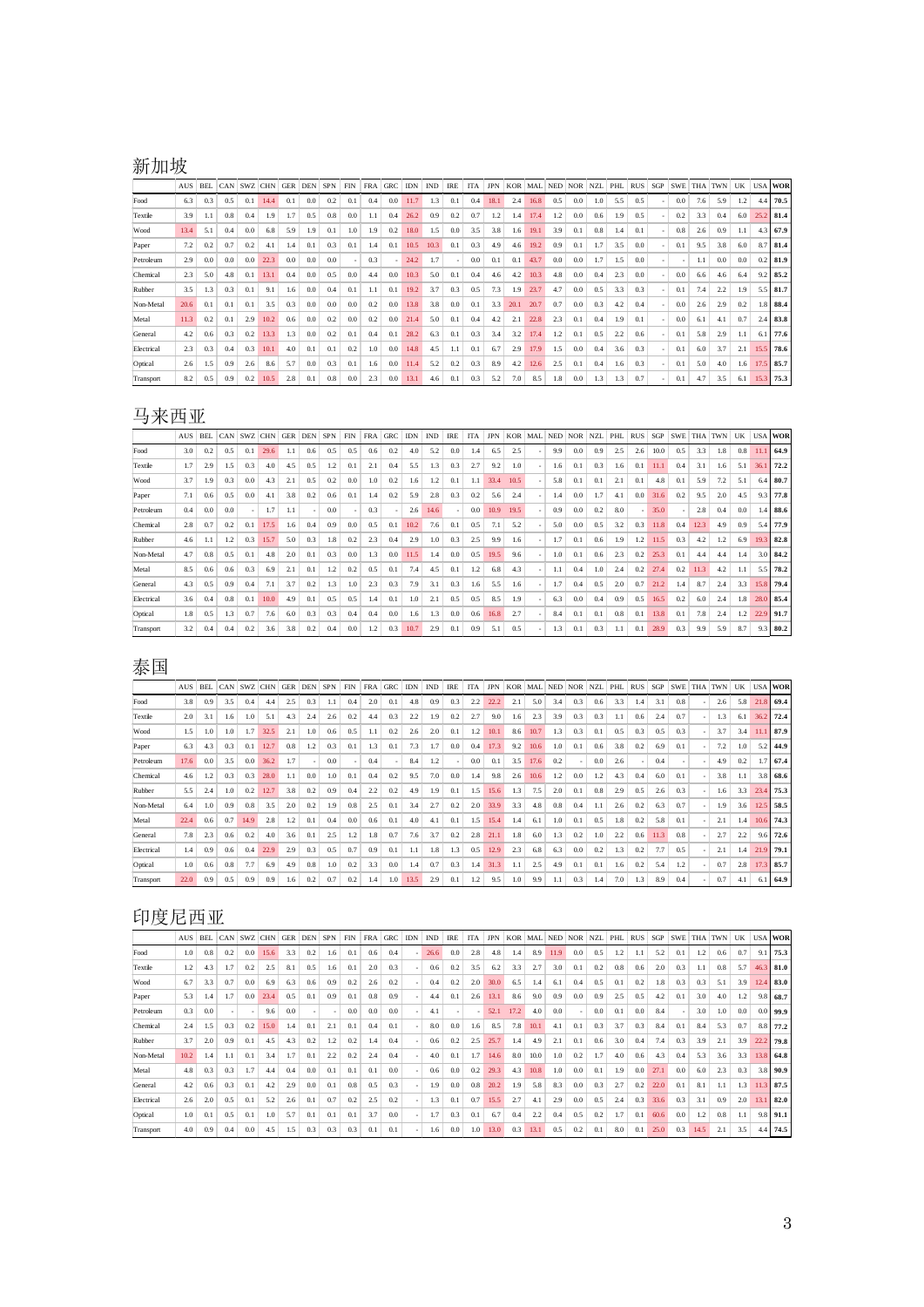## 新加坡

|            | <b>AUS</b> | <b>BEL</b> | CAN | <b>SWZ</b> | <b>CHN</b> | <b>GER</b> | DEN | <b>SPN</b> | <b>FIN</b>               | <b>FRA</b> | <b>GRC</b>               | <b>IDN</b> | <b>IND</b> | <b>IRE</b> | <b>ITA</b> | <b>JPN</b> | <b>KOR</b> | MAL  | <b>NED</b> | <b>NOR</b> | <b>NZL</b> | PHL     | <b>RUS</b> | SGP | <b>SWE</b> | <b>THA</b> | <b>TWN</b> | UK  |      | <b>USA WOR</b> |
|------------|------------|------------|-----|------------|------------|------------|-----|------------|--------------------------|------------|--------------------------|------------|------------|------------|------------|------------|------------|------|------------|------------|------------|---------|------------|-----|------------|------------|------------|-----|------|----------------|
| Food       | 6.3        | 0.3        | 0.5 | 0.1        | 14.4       | 0.1        | 0.0 | 0.2        | 0.1                      | 0.4        | 0.0                      | 11.7       | 1.3        | 0.1        | 0.4        | 18.1       | 2.4        | 16.8 | 0.5        | 0.0        | 1.0        | 5.5     | 0.5        |     | 0.0        | 7.6        | 5.9        | 1.2 |      | $4.4$ 70.5     |
| Textile    | 3.9        |            | 0.8 | 0.4        | 1.9        | 1.7        | 0.5 | 0.8        | 0.0                      | 1.1        | 0.4                      | 26.2       | 0.9        | 0.2        | 0.7        | 1.2        | 1.4        | 17.4 | 1.2        | 0.0        | 0.6        | 1.9     | 0.5        |     | 0.2        | 3.3        | 0.4        | 6.0 | 25.2 | 81.4           |
| Wood       | 13.4       | 5.1        | 0.4 | 0.0        | 6.8        | 5.9        | 1.9 | 0.1        | 1.0                      | 1.9        | 0.2                      | 18.0       | 1.5        | 0.0        | 3.5        | 3.8        | 1.6        | 19.1 | 3.9        | 0.1        | 0.8        | 1.4     | 0.1        |     | 0.8        | 2.6        | 0.9        | 1.1 | 4.3  | 67.9           |
| Paper      | 7.2        | 0.2        | 0.7 | 0.2        | 4.1        | 1.4        | 0.1 | 0.3        | 0.1                      | 1.4        | 0.1                      | 10.5       | 10.3       | 0.1        | 0.3        | 4.9        | 4.6        | 19.2 | 0.9        | 0.1        | 1.7        | 3.5     | 0.0        |     | 0.1        | 9.5        | 3.8        | 6.0 | 8.7  | 81.4           |
| Petroleum  | 2.9        | 0.0        | 0.0 | 0.0        | 22.3       | 0.0        | 0.0 | 0.0        | $\overline{\phantom{a}}$ | 0.3        | $\overline{\phantom{a}}$ | 24.2       | 1.7        |            | 0.0        | 0.1        | 0.1        | 43.7 | 0.0        | 0.0        | 1.7        | 1.5     | 0.0        |     | ٠          | 1.1        | 0.0        | 0.0 | 0.2  | 81.9           |
| Chemical   | 2.3        | 5.0        | 4.8 | 0.1        | 13.1       | 0.4        | 0.0 | 0.5        | 0.0                      | 4.4        | 0.0                      | 10.3       | 5.0        | 0.1        | 0.4        | 4.6        | 4.2        | 10.3 | 4.8        | 0.0        | 0.4        | 2.3     | 0.0        |     | 0.0        | 6.6        | 4.6        | 6.4 | 9.2  | 85.2           |
| Rubber     | 3.5        | 1.3        | 0.3 | 0.1        | 9.1        | 1.6        | 0.0 | 0.4        | 0.1                      | 1.1        | 0.1                      | 19.2       | 3.7        | 0.3        | 0.5        | 7.3        | 1.9        | 23.7 | 4.7        | 0.0        | 0.5        | 3.3     | 0.3        |     | 0.1        | 7.4        | 2.2        | 1.9 | 5.5  | 81.7           |
| Non-Metal  | 20.6       | 0.1        | 0.1 | 0.1        | 3.5        | 0.3        | 0.0 | 0.0        | 0.0                      | 0.2        | 0.0                      | 13.8       | 3.8        | 0.0        | 0.1        | 3.3        | 20.1       | 20.7 | 0.7        | 0.0        | 0.3        | 4.2     | 0.4        |     | 0.0        | 2.6        | 2.9        | 0.2 | 1.8  | 88.4           |
| Metal      | 11.3       | 0.2        | 0.1 | 2.9        | 10.2       | 0.6        | 0.0 | 0.2        | 0.0                      | 0.2        | 0.0                      | 21.4       | 5.0        | 0.1        | 0.4        | 4.2        | 2.1        | 22.8 | 2.3        | 0.1        | 0.4        | 1.9     | 0.1        |     | 0.0        | 6.1        | 4.1        | 0.7 | 2.4  | 83.8           |
| General    | 4.2        | 0.6        | 0.3 | 0.2        | 13.3       | 1.3        | 0.0 | 0.2        | 0.1                      | 0.4        | 0.1                      | 28.2       | 6.3        | 0.1        | 0.3        | 3.4        | 3.2        | 17.4 | 1.2        | 0.1        | 0.5        | 2.2     | 0.6        |     | 0.1        | 5.8        | 2.9        | 1.1 | 6.1  | 77.6           |
| Electrical | 2.3        | 0.3        | 0.4 | 0.3        | 10.1       | 4.0        | 0.1 | 0.1        | 0.2                      | 1.0        | 0.0                      | 14.8       | 4.5        | 1.1        | 0.1        | 6.7        | 2.9        | 17.9 | 1.5        | 0.0        | 0.4        | 3.6     | 0.3        |     | 0.1        | 6.0        | 3.7        | 2.1 | 15.5 | 78.6           |
| Optical    | 2.6        | 1.5        | 0.9 | 2.6        | 8.6        | 5.7        | 0.0 | 0.3        | 0.1                      | 1.6        | 0.0                      | 11.4       | 5.2        | 0.2        | 0.3        | 8.9        | 4.2        | 12.6 | 2.5        | 0.1        | 0.4        | $1.6\,$ | 0.3        |     | 0.1        | 5.0        | 4.0        | 1.6 | 17.5 | 85.7           |
| Transport  | 8.2        | 0.5        | 0.9 | 0.2        | 10.5       | 2.8        | 0.1 | 0.8        | 0.0                      | 2.3        | 0.0                      | 13.1       | 4.6        | 0.1        | 0.3        | 5.2        | 7.0        | 8.5  | 1.8        | 0.0        | 1.3        | 1.3     | 0.7        |     | 0.1        | 4.7        | 3.5        | 6.1 | 15.3 | 75.3           |

### 马来西亚

|            | <b>AUS</b> | <b>BEL</b> | CAN | <b>SWZ</b> | <b>CHN</b> | <b>GER</b> | <b>DEN</b> | <b>SPN</b> | <b>FIN</b> | <b>FRA</b> | <b>GRC</b> | <b>IDN</b> | <b>IND</b> | <b>IRE</b> | <b>ITA</b> | <b>JPN</b> | <b>KOR</b> | MAL | <b>NED</b> | <b>NOR</b> | <b>NZL</b> | PHL | <b>RUS</b> | SGP  | <b>SWE</b>               | <b>THA</b> | <b>TWN</b> | UK  | USA  | <b>WOR</b> |
|------------|------------|------------|-----|------------|------------|------------|------------|------------|------------|------------|------------|------------|------------|------------|------------|------------|------------|-----|------------|------------|------------|-----|------------|------|--------------------------|------------|------------|-----|------|------------|
| Food       | 3.0        | 0.2        | 0.5 | 0.1        | 29.6       | LI         | 0.6        | 0.5        | 0.5        | 0.6        | 0.2        | 4.0        | 5.2        | 0.0        | .4         | 6.5        | 2.5        |     | 9.9        | 0.0        | 0.9        | 2.5 | 2.6        | 10.0 | 0.5                      | 3.3        | 1.8        | 0.8 | 11.1 | 64.9       |
| Textile    | 1.7        | 2.9        | 1.5 | 0.3        | 4.0        | 4.5        | 0.5        | 1.2        | 0.1        | 2.1        | 0.4        | 5.5        | 1.3        | 0.3        | 2.7        | 9.2        | 1.0        |     | 1.6        | 0.1        | 0.3        | 1.6 | 0.1        | 11.1 | 0.4                      | 3.1        | $1.6\,$    | 5.1 | 36.1 | 72.2       |
| Wood       | 3.7        | 1.9        | 0.3 | 0.0        | 4.3        | 2.1        | 0.5        | 0.2        | 0.0        | 1.0        | 0.2        | 1.6        | 1.2        | 0.1        | 1.1        | 33.4       | 10.5       |     | 5.8        | 0.1        | 0.1        | 2.1 | 0.1        | 4.8  | 0.1                      | 5.9        | 7.2        | 5.1 | 6.4  | 80.7       |
| Paper      | 7.1        | 0.6        | 0.5 | 0.0        | 4.1        | 3.8        | 0.2        | 0.6        | 0.1        | 1.4        | 0.2        | 5.9        | 2.8        | 0.3        | 0.2        | 5.6        | 2.4        |     | 1.4        | 0.0        | 1.7        | 4.1 | 0.0        | 31.6 | 0.2                      | 9.5        | 2.0        | 4.5 | 9.3  | 77.8       |
| Petroleum  | 0.4        | 0.0        | 0.0 |            | 1.7        | 1.1        |            | 0.0        |            | 0.3        |            | 2.6        | 14.6       |            | 0.0        | 10.9       | 19.5       |     | 0.9        | 0.0        | 0.2        | 8.0 |            | 35.0 | $\overline{\phantom{a}}$ | 2.8        | 0.4        | 0.0 | 1.4  | 88.6       |
| Chemical   | 2.8        | 0.7        | 0.2 | 0.1        | 17.5       | 1.6        | 0.4        | 0.9        | 0.0        | 0.5        | 0.1        | 10.2       | 7.6        | 0.1        | 0.5        | 7.1        | 5.2        |     | 5.0        | 0.0        | 0.5        | 3.2 | 0.3        | 11.8 | 0.4                      | 12.3       | 4.9        | 0.9 | 5.4  | 77.9       |
| Rubber     | 4.6        |            | 1.2 | 0.3        | 15.7       | 5.0        | 0.3        | 1.8        | 0.2        | 2.3        | 0.4        | 2.9        | 1.0        | 0.3        | 2.5        | 9.9        | 1.6        |     | 1.7        | 0.1        | 0.6        | 1.9 | 1.2        | 11.5 | 0.3                      | 4.2        | 1.2        | 6.9 | 19.3 | 82.8       |
| Non-Metal  | 4.7        | 0.8        | 0.5 | 0.1        | 4.8        | 2.0        | 0.1        | 0.3        | 0.0        | 1.3        | 0.0        | 11.5       | 1.4        | 0.0        | 0.5        | 19.5       | 9.6        |     | 1.0        | 0.1        | 0.6        | 2.3 | 0.2        | 25.3 | 0.1                      | 4.4        | 4.4        | 1.4 | 3.0  | 84.2       |
| Metal      | 8.5        | 0.6        | 0.6 | 0.3        | 6.9        | 2.1        | 0.1        | 1.2        | 0.2        | 0.5        | 0.1        | 7.4        | 4.5        | 0.1        | 1.2        | 6.8        | 4.3        |     | 1.1        | 0.4        | 1.0        | 2.4 | 0.2        | 27.4 | 0.2                      | 11.3       | 4.2        | 1.1 | 5.5  | 78.2       |
| General    | 4.3        | 0.5        | 0.9 | 0.4        | 7.1        | 3.7        | 0.2        | 1.3        | 1.0        | 2.3        | 0.3        | 7.9        | 3.1        | 0.3        | 1.6        | 5.5        | 1.6        |     | 1.7        | 0.4        | 0.5        | 2.0 | 0.7        | 21.2 | 1.4                      | 8.7        | 2.4        | 3.3 | 15.8 | 79.4       |
| Electrical | 3.6        | 0.4        | 0.8 | 0.1        | 10.0       | 4.9        | 0.1        | 0.5        | 0.5        | 1.4        | 0.1        | 1.0        | 2.1        | 0.5        | 0.5        | 8.5        | 1.9        |     | 6.3        | 0.0        | 0.4        | 0.9 | 0.5        | 16.5 | 0.2                      | 6.0        | 2.4        | 1.8 | 28.0 | 85.4       |
| Optical    | 1.8        | 0.5        | 1.3 | 0.7        | 7.6        | 6.0        | 0.3        | 0.3        | 0.4        | 0.4        | 0.0        | 1.6        | 1.3        | 0.0        | 0.6        | 16.8       | 2.7        |     | 8.4        | 0.1        | 0.1        | 0.8 | 0.1        | 13.8 | 0.1                      | 7.8        | 2.4        | 1.2 | 22.9 | 91.7       |
| Transport  | 3.2        | 0.4        | 0.4 | 0.2        | 3.6        | 3.8        | 0.2        | 0.4        | 0.0        | 1.2        | 0.3        | 10.7       | 2.9        | 0.1        | 0.9        | 5.1        | 0.5        |     | 1.3        | 0.1        | 0.3        | 1.1 | 0.1        | 28.9 | 0.3                      | 9.9        | 5.9        | 8.7 | 9.3  | 80.2       |

## 泰国

|            | <b>AUS</b> | <b>BEL</b> | CAN | SWZ CHN |      | <b>GER</b> | <b>DEN</b> | <b>SPN</b> | <b>FIN</b> | <b>FRA</b> | GRC                      | <b>IDN</b> | <b>IND</b> | <b>IRE</b>               | <b>ITA</b> | <b>JPN</b> | <b>KOR</b> | MAL NED |     | <b>NOR</b> | <b>NZL</b> | PHL     | <b>RUS</b> | SGP  | <b>SWE</b> | <b>THA</b> | <b>TWN</b> | UK  |      | <b>USA WOR</b> |
|------------|------------|------------|-----|---------|------|------------|------------|------------|------------|------------|--------------------------|------------|------------|--------------------------|------------|------------|------------|---------|-----|------------|------------|---------|------------|------|------------|------------|------------|-----|------|----------------|
| Food       | 3.8        | 0.9        | 3.5 | 0.4     | 4.4  | 2.5        | 0.3        |            | 0.4        | 2.0        | 0.1                      | 4.8        | 0.9        | 0.3                      | 2.2        | 22.2       | 2.1        | 5.0     | 3.4 | 0.3        | 0.6        | 3.3     | 1.4        | 3.1  | 0.8        |            | 2.6        | 5.8 | 21.8 | 69.4           |
| Textile    | 2.0        | 3.1        | 1.6 | 1.0     | 5.1  | 4.3        | 2.4        | 2.6        | 0.2        | 4.4        | 0.3                      | 2.2        | 1.9        | 0.2                      | 2.7        | 9.0        | 1.6        | 2.3     | 3.9 | 0.3        | 0.3        | 1.1     | 0.6        | 2.4  | 0.7        |            | 1.3        | 6.1 | 36.2 | 72.4           |
| Wood       | 1.5        | 1.0        | 1.0 | 1.7     | 32.5 | 2.1        | 1.0        | 0.6        | 0.5        | 1.1        | 0.2                      | 2.6        | 2.0        | 0.1                      | 1.2        | 10.1       | 8.6        | 10.7    | 1.3 | 0.3        | 0.1        | 0.5     | 0.3        | 0.5  | 0.3        |            | 3.7        | 3.4 | 11.1 | 87.9           |
| Paper      | 6.3        | 4.3        | 0.3 | 0.1     | 12.7 | 0.8        | 1.2        | 0.3        | 0.1        | 1.3        | 0.1                      | 7.3        | 1.7        | 0.0                      | 0.4        | 17.3       | 9.2        | 10.6    | 1.0 | 0.1        | 0.6        | 3.8     | 0.2        | 6.9  | 0.1        |            | 7.2        | 1.0 | 5.2  | 44.9           |
| Petroleum  | 17.6       | 0.0        | 3.5 | 0.0     | 36.2 | 1.7        |            | 0.0        |            | 0.4        | $\overline{\phantom{a}}$ | 8.4        | 1.2        | $\overline{\phantom{a}}$ | 0.0        | 0.1        | 3.5        | 17.6    | 0.2 |            | 0.0        | 2.6     |            | 0.4  |            |            | 4.9        | 0.2 | 1.7  | 67.4           |
| Chemical   | 4.6        | 1.2        | 0.3 | 0.3     | 28.0 | 1.1        | 0.0        | 1.0        | 0.1        | 0.4        | 0.2                      | 9.5        | 7.0        | 0.0                      | 1.4        | 9.8        | 2.6        | 10.6    | 1.2 | 0.0        | 1.2        | 4.3     | 0.4        | 6.0  | 0.1        |            | 3.8        | 1.1 |      | $3.8$ 68.6     |
| Rubber     | 5.5        | 2.4        | 1.0 | 0.2     | 12.7 | 3.8        | 0.2        | 0.9        | 0.4        | 2.2        | 0.2                      | 4.9        | 1.9        | 0.1                      | 1.5        | 15.6       | 1.3        | 7.5     | 2.0 | 0.1        | 0.8        | 2.9     | 0.5        | 2.6  | 0.3        |            | 1.6        | 3.3 | 23.4 | 75.3           |
| Non-Metal  | 6.4        | 1.0        | 0.9 | 0.8     | 3.5  | 2.0        | 0.2        | 1.9        | 0.8        | 2.5        | 0.1                      | 3.4        | 2.7        | 0.2                      | 2.0        | 33.9       | 3.3        | 4.8     | 0.8 | 0.4        | 1.1        | 2.6     | 0.2        | 6.3  | 0.7        |            | 1.9        | 3.6 | 12.5 | 58.5           |
| Metal      | 22.4       | 0.6        | 0.7 | 14.9    | 2.8  | 1.2        | 0.1        | 0.4        | 0.0        | 0.6        | 0.1                      | 4.0        | 4.1        | 0.1                      | 1.5        | 15.4       | 1.4        | 6.1     | 1.0 | 0.1        | 0.5        | 1.8     | 0.2        | 5.8  | 0.1        |            | 2.1        | 1.4 | 10.6 | 74.3           |
| General    | 7.8        | 2.3        | 0.6 | 0.2     | 4.0  | 3.6        | 0.1        | 2.5        | 1.2        | 1.8        | 0.7                      | 7.6        | 3.7        | 0.2                      | 2.8        | 21.1       | 1.8        | 6.0     | 1.3 | 0.2        | 1.0        | 2.2     | 0.6        | 11.3 | 0.8        |            | 2.7        | 2.2 |      | $9.6$ 72.6     |
| Electrical | 1.4        | 0.9        | 0.6 | 0.4     | 22.9 | 2.9        | 0.3        | 0.5        | 0.7        | 0.9        | 0.1                      | 1.1        | 1.8        | 1.3                      | 0.5        | 12.9       | 2.3        | 6.8     | 6.3 | 0.0        | 0.2        | 1.3     | 0.2        | 7.7  | 0.5        |            | 2.1        | 1.4 | 21.9 | 79.1           |
| Optical    | 1.0        | 0.6        | 0.8 | 7.7     | 6.9  | 4.9        | 0.8        | 1.0        | 0.2        | 3.3        | 0.0                      | 1.4        | 0.7        | 0.3                      | .4         | 31.3       | 1.1        | 2.5     | 4.9 | 0.1        | 0.1        | $1.6\,$ | 0.2        | 5.4  | 1.2        |            | 0.7        | 2.8 | 17.3 | 85.7           |
| Transport  | 22.0       | 0.9        | 0.5 | 0.9     | 0.9  | 1.6        | 0.2        | 0.7        | 0.2        | 1.4        | 1.0                      | 13.5       | 2.9        | 0.1                      | $1.2\,$    | 9.5        | 1.0        | 9.9     | 1.1 | 0.3        | 1.4        | 7.0     | 1.3        | 8.9  | 0.4        |            | 0.7        | 4.1 | 6.1  | 64.9           |

## 印度尼西亚

|            | <b>AUS</b> | <b>BEL</b> | CAN                      | <b>SWZ</b> | <b>CHN</b> | <b>GER</b> | <b>DEN</b> | <b>SPN</b>               | <b>FIN</b> | <b>FRA</b> | <b>GRC</b> | <b>IDN</b> | <b>IND</b> | <b>IRE</b> | <b>ITA</b>               | <b>JPN</b> | <b>KOR</b> | MAL  | <b>NED</b> | <b>NOR</b> | <b>NZL</b> | PHL | <b>RUS</b> | SGP  | <b>SWE</b>               | <b>THA</b> | <b>TWN</b> | UK            |      | <b>USA WOR</b> |
|------------|------------|------------|--------------------------|------------|------------|------------|------------|--------------------------|------------|------------|------------|------------|------------|------------|--------------------------|------------|------------|------|------------|------------|------------|-----|------------|------|--------------------------|------------|------------|---------------|------|----------------|
| Food       | 1.0        | 0.8        | 0.2                      | 0.0        | 15.6       | 3.3        | 0.2        | 1.6                      | 0.1        | 0.6        | 0.4        |            | 26.6       | 0.0        | 2.8                      | 4.8        | 1.4        | 8.9  | 11.9       | 0.0        | 0.5        | 1.2 | 1.1        | 5.2  | 0.1                      | 1.2        | 0.6        | 0.7           | 9.1  | 75.3           |
| Textile    | 1.2        | 4.3        | 1.7                      | 0.2        | 2.5        | 8.1        | 0.5        | 1.6                      | 0.1        | 2.0        | 0.3        |            | 0.6        | 0.2        | 3.5                      | 6.2        | 3.3        | 2.7  | 3.0        | 0.1        | 0.2        | 0.8 | 0.6        | 2.0  | 0.3                      | 1.1        | 0.8        | 5.7           | 46.3 | 81.0           |
| Wood       | 6.7        | 3.3        | 0.7                      | 0.0        | 6.9        | 6.3        | 0.6        | 0.9                      | 0.2        | 2.6        | 0.2        |            | 0.4        | 0.2        | 2.0                      | 30.0       | 6.5        | 1.4  | 6.1        | 0.4        | 0.5        | 0.1 | 0.2        | 1.8  | 0.3                      | 0.3        | 5.1        | 3.9           | 12.4 | 83.0           |
| Paper      | 5.3        | 1.4        | 1.7                      | 0.0        | 23.4       | 0.5        | 0.1        | 0.9                      | 0.1        | 0.8        | 0.9        |            | 4.4        | 0.1        | 2.6                      | 13.1       | 8.6        | 9.0  | 0.9        | 0.0        | 0.9        | 2.5 | 0.5        | 4.2  | 0.1                      | 3.0        | 4.0        | $1.2^{\circ}$ | 9.8  | 68.7           |
| Petroleum  | 0.3        | 0.0        | $\overline{\phantom{0}}$ |            | 9.6        | 0.0        |            | $\overline{\phantom{a}}$ | 0.0        | 0.0        | 0.0        |            | 4.1        |            | $\overline{\phantom{a}}$ | 52.1       | 17.2       | 4.0  | 0.0        |            | 0.0        | 0.1 | 0.0        | 8.4  | $\overline{\phantom{a}}$ | 3.0        | 1.0        | 0.0           | 0.0  | 99.9           |
| Chemical   | 2.4        | 1.5        | 0.3                      | 0.2        | 15.0       | 1.4        | 0.1        | 2.1                      | 0.1        | 0.4        | 0.1        |            | 8.0        | 0.0        | 1.6                      | 8.5        | 7.8        | 10.1 | 4.1        | 0.1        | 0.3        | 3.7 | 0.3        | 8.4  | 0.1                      | 8.4        | 5.3        | 0.7           | 8.8  | 77.2           |
| Rubber     | 3.7        | 2.0        | 0.9                      | 0.1        | 4.5        | 4.3        | 0.2        | 1.2                      | 0.2        | 1.4        | 0.4        |            | 0.6        | 0.2        | 2.5                      | 25.7       | 1.4        | 4.9  | 2.1        | 0.1        | 0.6        | 3.0 | 0.4        | 7.4  | 0.3                      | 3.9        | 2.1        | 3.9           | 22.2 | 79.8           |
| Non-Metal  | 10.2       | 1.4        | 1.1                      | 0.1        | 3.4        | 1.7        | 0.1        | 2.2                      | 0.2        | 2.4        | 0.4        |            | 4.0        | 0.1        | 1.7                      | 14.6       | 8.0        | 10.0 | 1.0        | 0.2        | 1.7        | 4.0 | 0.6        | 4.3  | 0.4                      | 5.3        | 3.6        | 3.3           | 13.8 | 64.8           |
| Metal      | 4.8        | 0.3        | 0.3                      | 1.7        | 4.4        | 0.4        | 0.0        | 0.1                      | 0.1        | 0.1        | 0.0        |            | 0.6        | 0.0        | 0.2                      | 29.3       | 4.3        | 10.8 | 1.0        | 0.0        | 0.1        | 1.9 | 0.0        | 27.1 | 0.0                      | 6.0        | 2.3        | 0.3           | 3.8  | 90.9           |
| General    | 4.2        | 0.6        | 0.3                      | 0.1        | 4.2        | 2.9        | 0.0        | 0.1                      | 0.8        | 0.5        | 0.3        |            | 1.9        | 0.0        | 0.8                      | 20.2       | 1.9        | 5.8  | 8.3        | 0.0        | 0.3        | 2.7 | 0.2        | 22.0 | 0.1                      | 8.1        | 1.1        | 1.3           | 11.3 | 87.5           |
| Electrical | 2.6        | 2.0        | 0.5                      | 0.1        | 5.2        | 2.6        | 0.1        | 0.7                      | 0.2        | 2.5        | 0.2        |            | 1.3        | 0.1        | 0.7                      | 15.5       | 2.7        | 4.1  | 2.9        | 0.0        | 0.5        | 2.4 | 0.3        | 33.6 | 0.3                      | 3.1        | 0.9        | 2.0           | 13.1 | 82.0           |
| Optical    | 1.0        | 0.1        | 0.5                      | 0.1        | 1.0        | 5.7        | 0.1        | 0.1                      | 0.1        | 3.7        | 0.0        |            | 1.7        | 0.3        | 0.1                      | 6.7        | 0.4        | 2.2  | 0.4        | 0.5        | 0.2        | 1.7 | 0.1        | 60.6 | 0.0                      | 1.2        | 0.8        | 1.1           | 9.8  | 91.1           |
| Transport  | 4.0        | 0.9        | 0.4                      | 0.0        | 4.5        | 1.5        | 0.3        | 0.3                      | 0.3        | 0.1        | 0.1        |            | 1.6        | 0.0        | $0.1\,$                  | 13.0       | 0.3        | 13.1 | 0.5        | 0.2        | 0.1        | 8.0 | 0.1        | 25.0 | 0.3                      | 14.5       | 2.1        | 3.5           |      | 4.4 74.5       |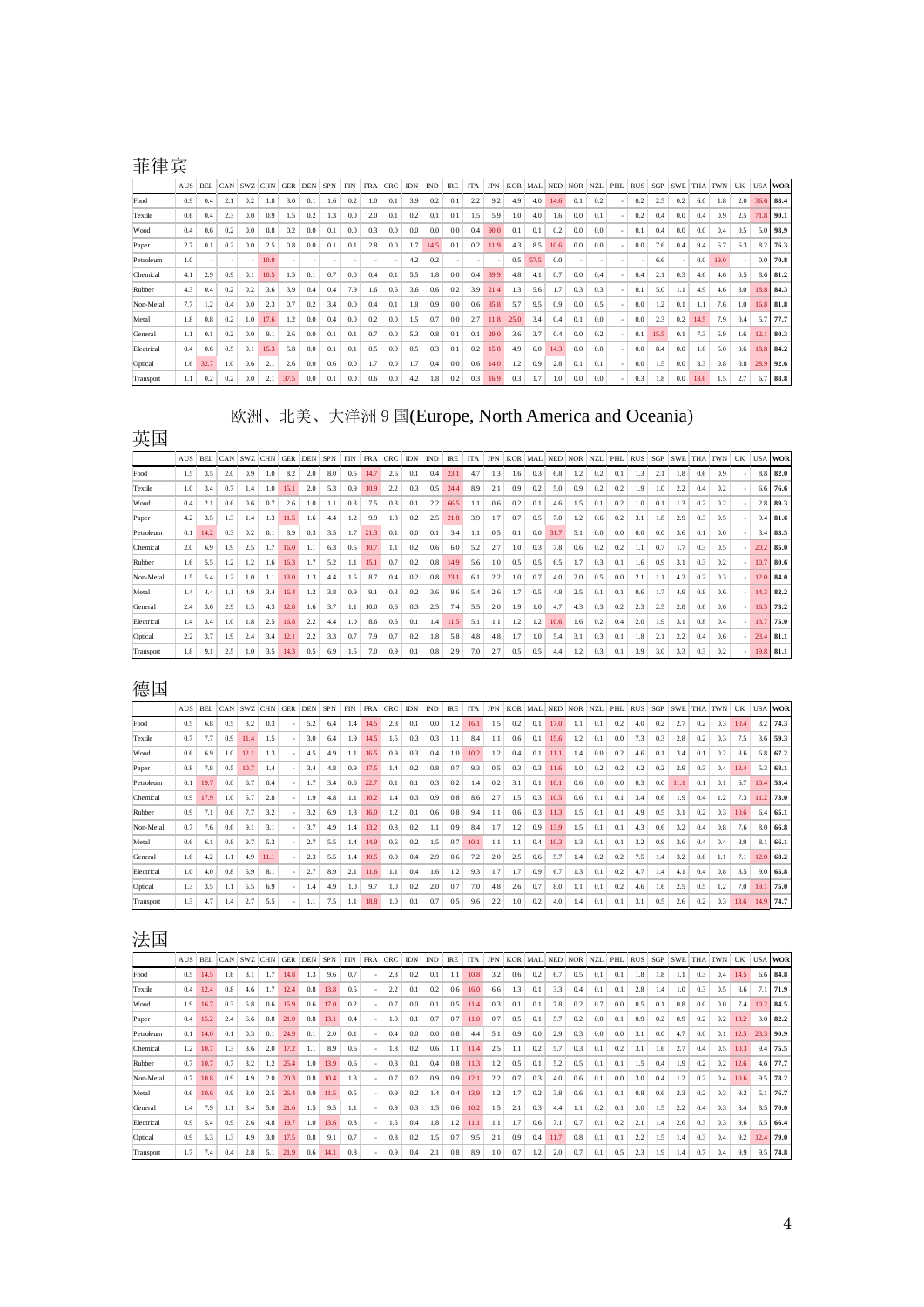## 菲律宾

|            | <b>AUS</b> | <b>BEL</b> | CAN                      | <b>SWZ</b> | <b>CHN</b> | <b>GER</b>    | <b>DEN</b> | <b>SPN</b> | <b>FIN</b> | <b>FRA</b> | <b>GRC</b>               | <b>IDN</b> | <b>IND</b> | <b>IRE</b> | <b>ITA</b> | <b>JPN</b>               | <b>KOR</b> | MAL  | <b>NED</b> | <b>NOR</b> | <b>NZL</b> | PHL                      | <b>RUS</b> | <b>SGP</b> | <b>SWE</b> | <b>THA</b> | <b>TWN</b> | UK  |      | <b>USA WOR</b> |
|------------|------------|------------|--------------------------|------------|------------|---------------|------------|------------|------------|------------|--------------------------|------------|------------|------------|------------|--------------------------|------------|------|------------|------------|------------|--------------------------|------------|------------|------------|------------|------------|-----|------|----------------|
| Food       | 0.9        | 0.4        | 2.1                      | 0.2        | 1.8        | 3.0           | 0.1        | 1.6        | 0.2        | 1.0        | 0.1                      | 3.9        | 0.2        | 0.1        | 2.2        | 9.2                      | 4.9        | 4.0  | 14.6       | 0.1        | 0.2        | $\overline{\phantom{a}}$ | 0.2        | 2.5        | 0.2        | 6.0        | 1.8        | 2.0 | 36.6 | 88.4           |
| Textile    | 0.6        | 0.4        | 2.3                      | 0.0        | 0.9        | 1.5           | 0.2        | 1.3        | 0.0        | 2.0        | 0.1                      | 0.2        | 0.1        | 0.1        | í.5        | 5.9                      | 1.0        | 4.0  | 1.6        | 0.0        | 0.1        | $\overline{\phantom{a}}$ | 0.2        | 0.4        | 0.0        | 0.4        | 0.9        | 2.5 | 71.8 | 90.1           |
| Wood       | 0.4        | 0.6        | 0.2                      | 0.0        | 0.8        | 0.2           | 0.0        | 0.1        | 0.0        | 0.3        | 0.0                      | 0.0        | 0.0        | 0.0        | 0.4        | 90.0                     | 0.1        | 0.1  | 0.2        | 0.0        | 0.0        | ÷,                       | 0.1        | 0.4        | 0.0        | 0.0        | 0.4        | 0.5 | 5.0  | 98.9           |
| Paper      | 2.7        | 0.1        | 0.2                      | 0.0        | 2.5        | 0.8           | 0.0        | 0.1        | 0.1        | 2.8        | 0.0                      | 1.7        | 14.5       | 0.1        | 0.2        | 11.9                     | 4.3        | 8.5  | 10.6       | 0.0        | 0.0        | ٠                        | 0.0        | 7.6        | 0.4        | 9.4        | 6.7        | 6.3 | 8.2  | 76.3           |
| Petroleum  | 1.0        |            | $\overline{\phantom{0}}$ |            | 10.9       |               |            |            |            |            | $\overline{\phantom{a}}$ | 4.2        | 0.2        |            | ۰          | $\overline{\phantom{a}}$ | 0.5        | 57.5 | 0.0        |            |            | $\overline{\phantom{a}}$ |            | 6.6        | ٠          | 0.0        | 19.0       |     |      | $0.0$ 70.8     |
| Chemical   | 4.1        | 2.9        | 0.9                      | 0.1        | 10.5       | 1.5           | 0.1        | 0.7        | 0.0        | 0.4        | 0.1                      | 5.5        | 1.8        | 0.0        | 0.4        | 39.9                     | 4.8        | 4.1  | 0.7        | 0.0        | 0.4        | $\overline{\phantom{a}}$ | 0.4        | 2.1        | 0.3        | 4.6        | 4.6        | 0.5 |      | 8.6 81.2       |
| Rubber     | 4.3        | 0.4        | 0.2                      | 0.2        | 3.6        | 3.9           | 0.4        | 0.4        | 7.9        | 1.6        | 0.6                      | 3.6        | 0.6        | 0.2        | 3.9        | 21.4                     | 1.3        | 5.6  | 1.7        | 0.3        | 0.3        | $\overline{\phantom{a}}$ | 0.1        | 5.0        | 1.1        | 4.9        | 4.6        | 3.0 | 18.8 | 84.3           |
| Non-Metal  | 7.7        | 1.2        | 0.4                      | 0.0        | 2.3        | 0.7           | 0.2        | 3.4        | 0.0        | 0.4        | 0.1                      | 1.8        | 0.9        | 0.0        | 0.6        | 35.8                     | 5.7        | 9.5  | 0.9        | 0.0        | 0.5        | ٠                        | 0.0        | 1.2        | 0.1        | 1.1        | 7.6        | 1.0 | 16.8 | 81.8           |
| Metal      | 1.8        | 0.8        | 0.2                      | 1.0        | 17.6       | $1.2^{\circ}$ | 0.0        | 0.4        | 0.0        | 0.2        | 0.0                      | 1.5        | 0.7        | 0.0        | 2.7        | 11.8                     | 25.0       | 3.4  | 0.4        | 0.1        | 0.0        | ٠                        | 0.0        | 2.3        | 0.2        | 14.5       | 7.9        | 0.4 | 5.7  | 77.7           |
| General    | 1.1        | 0.1        | 0.2                      | 0.0        | 9.1        | 2.6           | 0.0        | 0.1        | 0.1        | 0.7        | 0.0                      | 5.3        | 0.8        | 0.1        | 0.1        | 29.0                     | 3.6        | 3.7  | 0.4        | 0.0        | 0.2        | ÷,                       | 0.1        | 15.5       | 0.1        | 7.3        | 5.9        | 1.6 | 12.1 | 80.3           |
| Electrical | 0.4        | 0.6        | 0.5                      | 0.1        | 15.3       | 5.8           | 0.0        | 0.1        | 0.1        | 0.5        | 0.0                      | 0.5        | 0.3        | 0.1        | 0.2        | 15.8                     | 4.9        | 6.0  | 14.3       | 0.0        | 0.0        | $\overline{\phantom{a}}$ | 0.0        | 8.4        | 0.0        | 1.6        | 5.0        | 0.6 | 18.8 | 84.2           |
| Optical    | 1.6        | 32.7       | 1.0                      | 0.6        | 2.1        | 2.6           | 0.0        | 0.6        | 0.0        | 1.7        | 0.0                      | 1.7        | 0.4        | 0.0        | 0.6        | 14.0                     | 1.2        | 0.9  | 2.8        | 0.1        | 0.1        | ٠                        | 0.0        | 1.5        | 0.0        | 3.3        | 0.8        | 0.8 | 28.9 | 92.6           |
| Transport  | 1.1        | 0.2        | 0.2                      | 0.0        | 2.1        | 37.5          | 0.0        | 0.1        | 0.0        | 0.6        | 0.0                      | 4.2        | 1.8        | 0.2        | 0.3        | 16.9                     | 0.3        | 1.7  | 1.0        | 0.0        | 0.0        | $\overline{\phantom{a}}$ | 0.3        | 1.8        | 0.0        | 18.6       | 1.5        | 2.7 | 6.7  | 88.8           |

### 欧洲、北美、大洋洲 9 国(Europe, North America and Oceania)

## 英国

|            | <b>AUS</b> | <b>BEL</b> | CAN | SWZ CHN |     | <b>GER</b> | <b>DEN</b> | <b>SPN</b> | <b>FIN</b> | <b>FRA</b> | <b>GRC</b> | <b>IDN</b> | <b>IND</b> | <b>IRE</b> | <b>ITA</b> | <b>JPN</b> | <b>KOR</b> | MAL | <b>NED</b> | <b>NOR</b> | <b>NZL</b> | PHL | <b>RUS</b> | SGP | <b>SWE</b> | <b>THA</b> | <b>TWN</b> | UK                       |      | <b>USA WOR</b> |
|------------|------------|------------|-----|---------|-----|------------|------------|------------|------------|------------|------------|------------|------------|------------|------------|------------|------------|-----|------------|------------|------------|-----|------------|-----|------------|------------|------------|--------------------------|------|----------------|
| Food       | 1.5        | 3.5        | 2.0 | 0.9     | 1.0 | 8.2        | 2.0        | 8.0        | 0.5        | 14.7       | 2.6        | 0.1        | 0.4        | 23.1       | 4.7        | 1.3        | 1.6        | 0.3 | 6.8        | 1.2        | 0.2        | 0.1 | 1.3        | 2.1 | 1.8        | 0.6        | 0.9        |                          |      | 8.8 82.0       |
| Textile    | 1.0        | 3.4        | 0.7 | 1.4     | 1.0 | 15.1       | 2.0        | 5.3        | 0.9        | 10.9       | 2.2        | 0.3        | 0.5        | 24.4       | 8.9        | 2.1        | 0.9        | 0.2 | 5.0        | 0.9        | 0.2        | 0.2 | 1.9        | 1.0 | 2.2        | 0.4        | 0.2        |                          |      | 6.6 76.6       |
| Wood       | 0.4        | 2.1        | 0.6 | 0.6     | 0.7 | 2.6        | 1.0        | 1.1        | 0.3        | 7.5        | 0.3        | 0.1        | 2.2        | 66.5       | 1.1        | 0.6        | 0.2        | 0.1 | 4.6        | 1.5        | 0.1        | 0.2 | 1.0        | 0.1 | 1.3        | 0.2        | 0.2        |                          |      | 2.8 89.3       |
| Paper      | 4.2        | 3.5        | 1.3 | 1.4     | 1.3 | 11.5       | 1.6        | 4.4        | 1.2        | 9.9        | 1.3        | 0.2        | 2.5        | 21.8       | 3.9        | 1.7        | 0.7        | 0.5 | 7.0        | 1.2        | 0.6        | 0.2 | 3.1        | 1.8 | 2.9        | 0.3        | 0.5        |                          |      | $9.4$ 81.6     |
| Petroleum  | 0.1        | 14.2       | 0.3 | 0.2     | 0.1 | 8.9        | 0.3        | 3.5        | 1.7        | 21.3       | 0.1        | 0.0        | 0.1        | 3.4        | 1.1        | 0.5        | 0.1        | 0.0 | 31.7       | 5.1        | 0.0        | 0.0 | 0.0        | 0.0 | 3.6        | 0.1        | 0.0        |                          |      | 3.4 83.5       |
| Chemical   | 2.0        | 6.9        | 1.9 | 2.5     | 1.7 | 16.0       | 1.1        | 6.3        | 0.5        | 10.7       | 1.1        | 0.2        | 0.6        | 6.0        | 5.2        | 2.7        | 1.0        | 0.3 | 7.8        | 0.6        | 0.2        | 0.2 | 1.1        | 0.7 | 1.7        | 0.3        | 0.5        |                          | 20.2 | 85.0           |
| Rubber     | 1.6        | 5.5        | 1.2 | 1.2     | 1.6 | 16.3       | 1.7        | 5.2        | 1.1        | 15.1       | 0.7        | 0.2        | 0.8        | 14.9       | 5.6        | 1.0        | 0.5        | 0.5 | 6.5        | 1.7        | 0.3        | 0.1 | 1.6        | 0.9 | 3.1        | 0.3        | 0.2        | $\overline{\phantom{a}}$ | 10.7 | 80.6           |
| Non-Metal  | 1.5        | 5.4        | 1.2 | 1.0     | 1.1 | 13.0       | 1.3        | 4.4        | 1.5        | 8.7        | 0.4        | 0.2        | 0.8        | 23.1       | 6.1        | 2.2        | 1.0        | 0.7 | 4.0        | 2.0        | 0.5        | 0.0 | 2.1        | 1.1 | 4.2        | 0.2        | 0.3        | $\overline{\phantom{a}}$ | 12.0 | 84.0           |
| Metal      | 1.4        | 4.4        | 1.1 | 4.9     | 3.4 | 16.4       | 1.2        | 3.8        | 0.9        | 9.1        | 0.3        | 0.2        | 3.6        | 8.6        | 5.4        | 2.6        | 1.7        | 0.5 | 4.8        | 2.5        | 0.1        | 0.1 | 0.6        | 1.7 | 4.9        | 0.8        | 0.6        | $\overline{\phantom{a}}$ | 14.3 | 82.2           |
| General    | 2.4        | 3.6        | 2.9 | 1.5     | 4.3 | 12.8       | 1.6        | 3.7        | 1.1        | 10.0       | 0.6        | 0.3        | 2.5        | 7.4        | 5.5        | 2.0        | 1.9        | 1.0 | 4.7        | 4.3        | 0.3        | 0.2 | 2.3        | 2.5 | 2.8        | 0.6        | 0.6        | $\overline{a}$           | 16.5 | 73.2           |
| Electrical | 1.4        | 3.4        | 1.0 | 1.8     | 2.5 | 16.8       | 2.2        | 4.4        | 1.0        | 8.6        | 0.6        | 0.1        | 1.4        | 11.5       | 5.1        | 1.1        | 1.2        | 1.2 | 10.6       | 1.6        | 0.2        | 0.4 | 2.0        | 1.9 | 3.1        | 0.8        | 0.4        | $\overline{\phantom{a}}$ | 13.7 | 75.0           |
| Optical    | 2.2        | 3.7        | 1.9 | 2.4     | 3.4 | 12.1       | 2.2        | 3.3        | 0.7        | 7.9        | 0.7        | 0.2        | 1.8        | 5.8        | 4.8        | 4.8        | 1.7        | 1.0 | 5.4        | 3.1        | 0.3        | 0.1 | 1.8        | 2.1 | 2.2        | 0.4        | 0.6        |                          | 23.4 | 81.1           |
| Transport  | 1.8        | 9.1        | 2.5 | 1.0     | 3.5 | 14.3       | 0.5        | 6.9        | 1.5        | 7.0        | 0.9        | 0.1        | 0.8        | 2.9        | 7.0        | 2.7        | 0.5        | 0.5 | 4.4        | 1.2        | 0.3        | 0.1 | 3.9        | 3.0 | 3.3        | 0.3        | 0.2        | $\overline{\phantom{a}}$ | 19.8 | 81.1           |

## 德国

|            | AUS | <b>BEL</b> | CAN | <b>SWZ</b> | <b>CHN</b> | <b>GER</b> | <b>DEN</b> | <b>SPN</b> | <b>FIN</b> | <b>FRA</b> | <b>GRC</b> | <b>IDN</b> | <b>IND</b> | <b>IRE</b> | <b>ITA</b> | <b>JPN</b> | <b>KOR</b> |     | MAL NED | <b>NOR</b> | <b>NZL</b> | PHL | <b>RUS</b> | SGP | <b>SWE</b> | <b>THA</b> | <b>TWN</b> | UK   |      | <b>USA WOR</b> |
|------------|-----|------------|-----|------------|------------|------------|------------|------------|------------|------------|------------|------------|------------|------------|------------|------------|------------|-----|---------|------------|------------|-----|------------|-----|------------|------------|------------|------|------|----------------|
| Food       | 0.5 | 6.8        | 0.5 | 3.2        | 0.3        |            | 5.2        | 6.4        | 1.4        | 14.5       | 2.8        | 0.1        | 0.0        | 1.2        | 16.1       | 1.5        | 0.2        | 0.1 | 17.0    |            | 0.1        | 0.2 | 4.0        | 0.2 | 2.7        | 0.2        | 0.3        | 10.4 | 3.2  | 74.3           |
| Textile    | 0.7 | 7.7        | 0.9 | 11.4       | 1.5        |            | 3.0        | 6.4        | 1.9        | 14.5       | 1.5        | 0.3        | 0.3        | 1.1        | 8.4        | 1.1        | 0.6        | 0.1 | 15.6    | 1.2        | 0.1        | 0.0 | 7.3        | 0.3 | 2.8        | 0.2        | 0.3        | 7.5  | 3.6  | 59.3           |
| Wood       | 0.6 | 6.9        | 1.0 | 12.1       | 1.3        |            | 4.5        | 4.9        | 1.1        | 16.5       | 0.9        | 0.3        | 0.4        | 1.0        | 10.2       | 1.2        | 0.4        | 0.1 | 11.1    | 1.4        | 0.0        | 0.2 | 4.6        | 0.1 | 3.4        | 0.1        | 0.2        | 8.6  | 6.8  | 67.2           |
| Paper      | 0.8 | 7.8        | 0.5 | 10.7       | 1.4        |            | 3.4        | 4.8        | 0.9        | 17.5       | 1.4        | 0.2        | 0.8        | 0.7        | 9.3        | 0.5        | 0.3        | 0.3 | 11.6    | 1.0        | 0.2        | 0.2 | 4.2        | 0.2 | 2.9        | 0.3        | 0.4        | 12.4 | 5.3  | 68.1           |
| Petroleum  | 0.1 | 19.7       | 0.0 | 6.7        | 0.4        |            | 1.7        | 3.4        | 0.6        | 22.7       | 0.1        | 0.1        | 0.3        | 0.2        | 1.4        | 0.2        | 3.1        | 0.1 | 10.1    | 0.6        | 0.0        | 0.0 | 0.3        | 0.0 | 11.1       | 0.1        | 0.1        | 6.7  | 10.4 | 53.4           |
| Chemical   | 0.9 | 17.9       | 1.0 | 5.7        | 2.8        |            | 1.9        | 4.8        | 1.1        | 10.2       | 1.4        | 0.3        | 0.9        | 0.8        | 8.6        | 2.7        | 1.5        | 0.3 | 10.5    | 0.6        | 0.1        | 0.1 | 3.4        | 0.6 | 1.9        | 0.4        | 1.2        | 7.3  | 11.2 | 73.0           |
| Rubber     | 0.9 | 7.1        | 0.6 | 7.7        | 3.2        |            | 3.2        | 6.9        | 1.3        | 16.0       | 1.2        | 0.1        | 0.6        | 0.8        | 9.4        | 1.1        | 0.6        | 0.3 | 11.3    | 1.5        | 0.1        | 0.1 | 4.9        | 0.5 | 3.1        | 0.2        | 0.3        | 10.6 | 6.4  | 65.1           |
| Non-Metal  | 0.7 | 7.6        | 0.6 | 9.1        | 3.1        |            | 3.7        | 4.9        | 1.4        | 13.2       | 0.8        | 0.2        | 1.1        | 0.9        | 8.4        | 1.7        | 1.2        | 0.9 | 13.9    | 1.5        | 0.1        | 0.1 | 4.3        | 0.6 | 3.2        | 0.4        | 0.8        | 7.6  | 8.0  | 66.8           |
| Metal      | 0.6 | 6.1        | 0.8 | 9.7        | 5.3        |            | 2.7        | 5.5        | 1.4        | 14.9       | 0.6        | 0.2        | 1.5        | 0.7        | 10.1       | 1.1        | 1.1        | 0.4 | 10.3    | 1.3        | 0.1        | 0.1 | 3.2        | 0.9 | 3.6        | 0.4        | 0.4        | 8.9  | 8.1  | 66.1           |
| General    | 1.6 | 4.2        | 1.1 | 4.9        | 11.1       |            | 2.3        | 5.5        | 1.4        | 10.5       | 0.9        | 0.4        | 2.9        | 0.6        | 7.2        | 2.0        | 2.5        | 0.6 | 5.7     | 1.4        | 0.2        | 0.2 | 7.5        | 1.4 | 3.2        | 0.6        | 1.1        | 7.1  | 12.0 | 68.2           |
| Electrical | 1.0 | 4.0        | 0.8 | 5.9        | 8.1        |            | 2.7        | 8.9        | 2.1        | 11.6       | 1.1        | 0.4        | 1.6        | 1.2        | 9.3        | 1.7        | 1.7        | 0.9 | 6.7     | 1.3        | 0.1        | 0.2 | 4.7        | 1.4 | 4.1        | 0.4        | 0.8        | 8.5  | 9.0  | 65.8           |
| Optical    | 1.3 | 3.5        | 1.1 | 5.5        | 6.9        |            | 1.4        | 4.9        | 1.0        | 9.7        | 1.0        | 0.2        | 2.0        | 0.7        | 7.0        | 4.8        | 2.6        | 0.7 | 8.0     | 1.1        | 0.1        | 0.2 | 4.6        | 1.6 | 2.5        | 0.5        | 1.2        | 7.0  | 19.1 | 75.0           |
| Transport  | 1.3 | 4.7        | 1.4 | 2.7        | 5.5        |            | 1.1        | 7.5        | 1.1        | 18.8       | 1.0        | 0.1        | 0.7        | 0.5        | 9.6        | 2.2        | 1.0        | 0.2 | 4.0     | 1.4        | 0.1        | 0.1 | 3.1        | 0.5 | 2.6        | 0.2        | 0.3        | 13.6 | 14.9 | 74.7           |

## 法国

|            | <b>AUS</b> | <b>BEL</b> | CAN | SWZ CHN |     | <b>GER</b> | <b>DEN</b> | <b>SPN</b> | <b>FIN</b> | <b>FRA</b>               | <b>GRC</b> | <b>IDN</b> | <b>IND</b> | <b>IRE</b> | <b>ITA</b> | <b>JPN</b> | <b>KOR</b> | MAL NED |      | <b>NOR</b> | <b>NZL</b> | PHL | <b>RUS</b> | SGP | <b>SWE</b> | <b>THA</b> | <b>TWN</b> | UK   |      | <b>USA WOR</b> |
|------------|------------|------------|-----|---------|-----|------------|------------|------------|------------|--------------------------|------------|------------|------------|------------|------------|------------|------------|---------|------|------------|------------|-----|------------|-----|------------|------------|------------|------|------|----------------|
| Food       | 0.5        | 14.5       | 1.6 | 3.1     | 1.7 | 14.8       | 1.3        | 9.6        | 0.7        |                          | 2.3        | 0.2        | 0.1        | 1.1        | 10.8       | 3.2        | 0.6        | 0.2     | 6.7  | 0.5        | 0.1        | 0.1 | 1.8        | 1.8 | 1.1        | 0.3        | 0.4        | 14.5 |      | 6.6 84.8       |
| Textile    | 0.4        | 12.4       | 0.8 | 4.6     | 1.7 | 12.4       | 0.8        | 13.8       | 0.5        |                          | 2.2        | 0.1        | 0.2        | 0.6        | 16.0       | 6.6        | 1.3        | 0.1     | 3.3  | 0.4        | 0.1        | 0.1 | 2.8        | 1.4 | 1.0        | 0.3        | 0.5        | 8.6  | 7.1  | 71.9           |
| Wood       | 1.9        | 16.7       | 0.3 | 5.8     | 0.6 | 15.9       | 0.6        | 17.0       | 0.2        |                          | 0.7        | 0.0        | 0.1        | 0.5        | 11.4       | 0.3        | 0.1        | 0.1     | 7.8  | 0.2        | 0.7        | 0.0 | 0.5        | 0.1 | 0.8        | 0.0        | 0.0        | 7.4  | 10.2 | 84.5           |
| Paper      | 0.4        | 15.2       | 2.4 | 6.6     | 0.8 | 21.0       | 0.8        | 13.1       | 0.4        |                          | 1.0        | 0.1        | 0.7        | 0.7        | 11.0       | 0.7        | 0.5        | 0.1     | 5.7  | 0.2        | 0.0        | 0.1 | 0.9        | 0.2 | 0.9        | 0.2        | 0.2        | 13.2 | 3.0  | 82.2           |
| Petroleum  | 0.1        | 14.0       | 0.1 | 0.3     | 0.1 | 24.9       | 0.1        | 2.0        | 0.1        | $\overline{\phantom{a}}$ | 0.4        | 0.0        | 0.0        | 0.8        | 4.4        | 5.1        | 0.9        | 0.0     | 2.9  | 0.3        | 0.0        | 0.0 | 3.1        | 0.0 | 4.7        | 0.0        | 0.1        | 12.5 | 23.3 | 90.9           |
| Chemical   | 1.2        | 10.7       | 1.3 | 3.6     | 2.0 | 17.2       | 1.1        | 8.9        | 0.6        |                          | 1.8        | 0.2        | 0.6        | 1.1        | 11.4       | 2.5        | 1.1        | 0.2     | 5.7  | 0.3        | 0.1        | 0.2 | 3.1        | 1.6 | 2.7        | 0.4        | 0.5        | 10.3 |      | 9.4 75.5       |
| Rubber     | 0.7        | 10.7       | 0.7 | 3.2     | 1.2 | 25.4       | 1.0        | 13.9       | 0.6        |                          | 0.8        | 0.1        | 0.4        | 0.8        | 11.3       | 1.2        | 0.5        | 0.1     | 5.2  | 0.5        | 0.1        | 0.1 | 1.5        | 0.4 | 1.9        | 0.2        | 0.2        | 12.6 |      | 4.6 77.7       |
| Non-Metal  | 0.7        | 10.8       | 0.9 | 4.9     | 2.0 | 20.3       | 0.8        | 10.4       | 1.3        |                          | 0.7        | 0.2        | 0.9        | 0.9        | 12.1       | 2.2        | 0.7        | 0.3     | 4.0  | 0.6        | 0.1        | 0.0 | 3.0        | 0.4 | 1.2        | 0.2        | 0.4        | 10.6 | 9.5  | 78.2           |
| Metal      | 0.6        | 10.6       | 0.9 | 3.0     | 2.5 | 26.4       | 0.9        | 11.5       | 0.5        | $\overline{\phantom{a}}$ | 0.9        | 0.2        | 1.4        | 0.4        | 13.9       | 1.2        | 1.7        | 0.2     | 3.8  | 0.6        | 0.1        | 0.1 | 0.8        | 0.6 | 2.3        | 0.2        | 0.3        | 9.2  | 5.1  | 76.7           |
| General    | 1.4        | 7.9        | 1.1 | 3.4     | 5.0 | 21.6       | 1.5        | 9.5        | 1.1        |                          | 0.9        | 0.3        | 1.5        | 0.6        | 10.2       | 1.5        | 2.1        | 0.3     | 4.4  | 1.1        | 0.2        | 0.1 | 3.0        | 1.5 | 2.2        | 0.4        | 0.3        | 8.4  | 8.5  | 70.0           |
| Electrical | 0.9        | 5.4        | 0.9 | 2.6     | 4.8 | 19.7       | 1.0        | 13.6       | 0.8        |                          | 1.5        | 0.4        | 1.8        | 1.2        | 11.1       | 1.1        | 1.7        | 0.6     | 7.1  | 0.7        | 0.1        | 0.2 | 2.1        | 1.4 | 2.6        | 0.3        | 0.3        | 9.6  | 6.5  | 66.4           |
| Optical    | 0.9        | 5.3        | 1.3 | 4.9     | 3.0 | 17.5       | 0.8        | 9.1        | 0.7        |                          | 0.8        | 0.2        | 1.5        | 0.7        | 9.5        | 2.1        | 0.9        | 0.4     | 11.7 | 0.8        | 0.1        | 0.1 | 2.2        | 1.5 | 1.4        | 0.3        | 0.4        | 9.2  | 12.4 | 79.0           |
| Transport  | 1.7        | 7.4        | 0.4 | 2.8     | 5.1 | 21.9       | 0.6        | 14.1       | 0.8        |                          | 0.9        | 0.4        | 2.1        | 0.8        | 8.9        | 1.0        | 0.7        | 1.2     | 2.0  | 0.7        | 0.1        | 0.5 | 2.3        | 1.9 | 1.4        | 0.7        | 0.4        | 9.9  |      | 9.5 74.8       |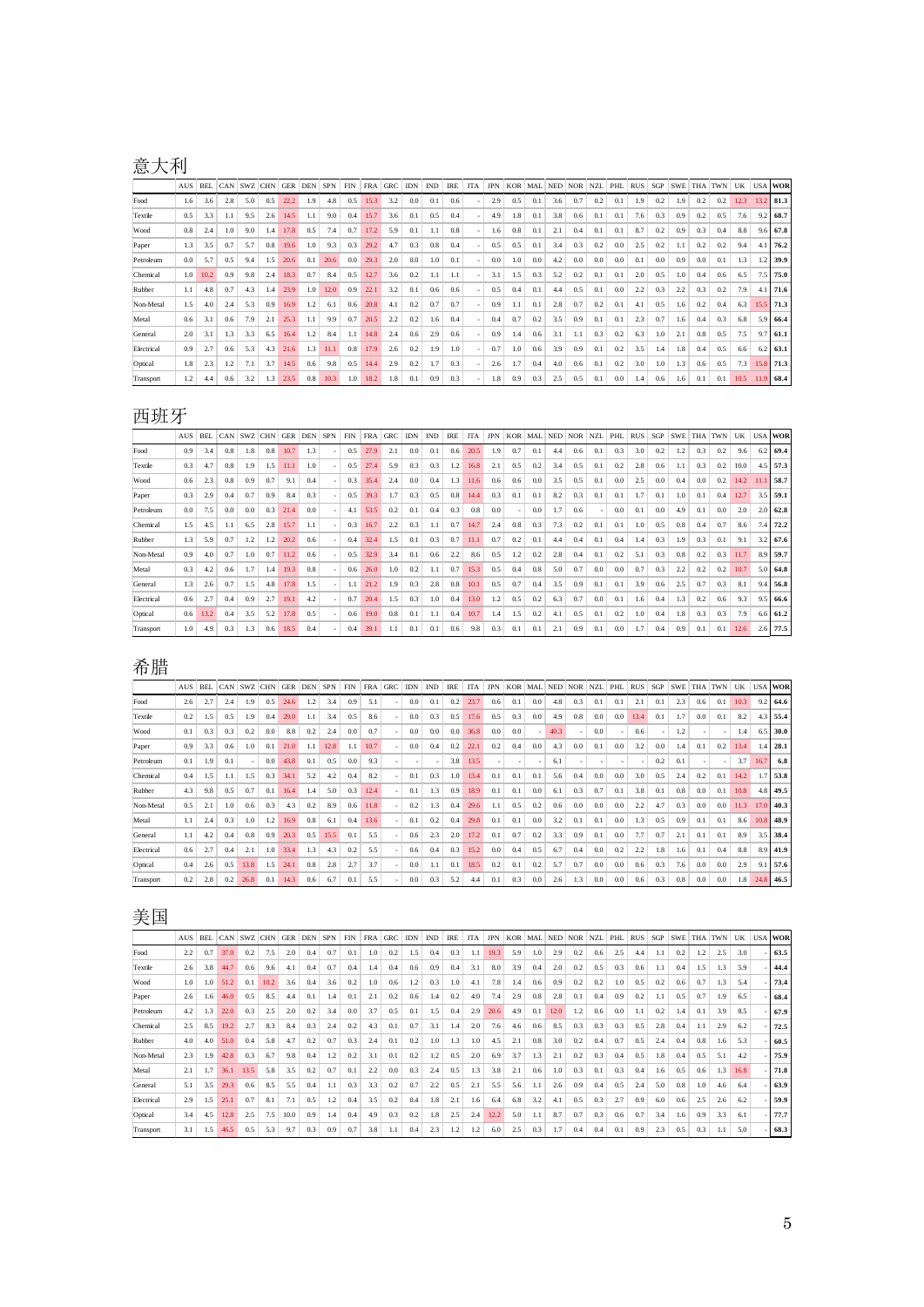## 意大利

|            | AUS | <b>BEL</b> | CAN | <b>SWZ</b> | <b>CHN</b> | <b>GER</b> | <b>DEN</b> | <b>SPN</b> | <b>FIN</b> | <b>FRA</b> | <b>GRC</b> | <b>IDN</b> | <b>IND</b> | <b>IRE</b> | <b>ITA</b> | <b>JPN</b> | <b>KOR</b> | MAL | <b>NED</b> | <b>NOR</b> | <b>NZL</b> | PHL | <b>RUS</b> | SGP | <b>SWE</b> | <b>THA</b> | <b>TWN</b> | UK   |      | <b>USA WOR</b> |
|------------|-----|------------|-----|------------|------------|------------|------------|------------|------------|------------|------------|------------|------------|------------|------------|------------|------------|-----|------------|------------|------------|-----|------------|-----|------------|------------|------------|------|------|----------------|
| Food       | 1.6 | 3.6        | 2.8 | 5.0        | 0.5        | 22.2       | 1.9        | 4.8        | 0.5        | 15.3       | 3.2        | 0.0        | 0.1        | 0.6        |            | 2.9        | 0.5        | 0.1 | 3.6        | 0.7        | 0.2        | 0.1 | 1.9        | 0.2 | 1.9        | 0.2        | 0.2        | 12.3 | 13.2 | 81.3           |
| Textile    | 0.5 | 3.3        | 1.1 | 9.5        | 2.6        | 14.5       | 1.1        | 9.0        | 0.4        | 15.7       | 3.6        | 0.1        | 0.5        | 0.4        |            | 4.9        | 1.8        | 0.1 | 3.8        | 0.6        | 0.1        | 0.1 | 7.6        | 0.3 | 0.9        | 0.2        | 0.5        | 7.6  | 9.2  | 68.7           |
| Wood       | 0.8 | 2.4        | 1.0 | 9.0        | 1.4        | 17.8       | 0.5        | 7.4        | 0.7        | 17.2       | 5.9        | 0.1        | 1.1        | 0.8        |            | 1.6        | 0.8        | 0.1 | 2.1        | 0.4        | $0$ .      | 0.1 | 8.7        | 0.2 | 0.9        | 0.3        | 0.4        | 8.8  | 9.6  | 67.8           |
| Paper      | 1.3 | 3.5        | 0.7 | 5.7        | 0.8        | 19.6       | 1.0        | 9.3        | 0.3        | 29.2       | 4.7        | 0.3        | 0.8        | 0.4        |            | 0.5        | 0.5        | 0.1 | 3.4        | 0.3        | 0.2        | 0.0 | 2.5        | 0.2 | 1.1        | 0.2        | 0.2        | 9.4  | 4.1  | 76.2           |
| Petroleum  | 0.0 | 5.7        | 0.5 | 9.4        | 1.5        | 20.6       | 0.1        | 20.6       | 0.0        | 29.3       | 2.0        | 0.0        | 1.0        | 0.1        |            | 0.0        | 1.0        | 0.0 | 4.2        | 0.0        | 0.0        | 0.0 | 0.1        | 0.0 | 0.9        | 0.0        | 0.1        | 1.3  | 1.2  | 39.9           |
| Chemical   | 1.0 | 10.2       | 0.9 | 9.8        | 2.4        | 18.3       | 0.7        | 8.4        | 0.5        | 12.7       | 3.6        | 0.2        | 1.1        | 1.1        |            | 3.1        | 1.5        | 0.3 | 5.2        | 0.2        | 0.1        | 0.1 | 2.0        | 0.5 | 1.0        | 0.4        | 0.6        | 6.5  | 7.5  | 75.0           |
| Rubber     | 1.1 | 4.8        | 0.7 | 4.3        | 1.4        | 23.9       | 1.0        | 12.0       | 0.9        | 22.1       | 3.2        | 0.1        | 0.6        | 0.6        |            | 0.5        | 0.4        | 0.1 | 4.4        | 0.5        | 0.1        | 0.0 | 2.2        | 0.3 | 2.2        | 0.3        | 0.2        | 7.9  | 4.1  | 71.6           |
| Non-Metal  | 1.5 | 4.0        | 2.4 | 5.3        | 0.9        | 16.9       | 1.2        | 6.1        | 0.6        | 20.8       | 4.1        | 0.2        | 0.7        | 0.7        |            | 0.9        | 1.1        | 0.1 | 2.8        | 0.7        | 0.2        | 0.1 | 4.1        | 0.5 | 1.6        | 0.2        | 0.4        | 6.3  | 15.5 | 71.3           |
| Metal      | 0.6 | 3.1        | 0.6 | 7.9        | 2.1        | 25.3       | 1.1        | 9.9        | 0.7        | 20.5       | 2.2        | 0.2        | 1.6        | 0.4        |            | 0.4        | 0.7        | 0.2 | 3.5        | 0.9        | 0.1        | 0.1 | 2.3        | 0.7 | 1.6        | 0.4        | 0.3        | 6.8  | 5.9  | 66.4           |
| General    | 2.0 | 3.1        | 1.3 | 3.3        | 6.5        | 16.4       | 1.2        | 8.4        | 1.1        | 14.8       | 2.4        | 0.6        | 2.9        | 0.6        |            | 0.9        | 1.4        | 0.6 | 3.1        | 1.1        | 0.3        | 0.2 | 6.3        | 1.0 | 2.1        | 0.8        | 0.5        | 7.5  | 9.7  | 61.1           |
| Electrical | 0.9 | 2.7        | 0.6 | 5.3        | 4.3        | 21.6       | 1.3        | 11.1       | 0.8        | 17.9       | 2.6        | 0.2        | 1.9        | 1.0        |            | 0.7        | 1.0        | 0.6 | 3.9        | 0.9        | 0.1        | 0.2 | 3.5        | 1.4 | 1.8        | 0.4        | 0.5        | 6.6  | 6.2  | 63.1           |
| Optical    | 1.8 | 2.3        | 1.2 | 7.1        | 3.7        | 14.5       | 0.6        | 9.8        | 0.5        | 14.4       | 2.9        | 0.2        | 1.7        | 0.3        |            | 2.6        | 1.7        | 0.4 | 4.0        | 0.6        | 0.1        | 0.2 | 3.0        | 1.0 | 1.3        | 0.6        | 0.5        | 7.3  | 15.8 | 71.3           |
| Transport  | 1.2 | 4.4        | 0.6 | 3.2        | 1.3        | 23.5       | 0.8        | 10.3       | 1.0        | 18.2       | 1.8        | 0.1        | 0.9        | 0.3        |            | 1.8        | 0.9        | 0.3 | 2.5        | 0.5        | 0.1        | 0.0 | 1.4        | 0.6 | 1.6        | 0.1        | 0.1        | 10.5 | 11.9 | 68.4           |

### 西班牙

|            | <b>AUS</b> | <b>BEL</b> | CAN | <b>SWZ</b> | <b>CHN</b> | <b>GER</b> | <b>DEN</b> | <b>SPN</b> | <b>FIN</b> | <b>FRA</b> | <b>GRC</b> | <b>IDN</b> | <b>IND</b> | <b>IRE</b> | <b>ITA</b> | <b>JPN</b> | <b>KOR</b> | MAL | <b>NED</b> | <b>NOR</b> | <b>NZL</b> | PHL | <b>RUS</b> | SGP | <b>SWE</b> | <b>THA</b> | <b>TWN</b> | UK   |     | <b>USA WOR</b> |
|------------|------------|------------|-----|------------|------------|------------|------------|------------|------------|------------|------------|------------|------------|------------|------------|------------|------------|-----|------------|------------|------------|-----|------------|-----|------------|------------|------------|------|-----|----------------|
| Food       | 0.9        | 3.4        | 0.8 | 1.8        | 0.8        | 10.7       | 1.3        |            | 0.5        | 27.9       | 2.1        | 0.0        | 0.1        | 0.6        | 20.5       | 1.9        | 0.7        | 0.1 | 4.4        | 0.6        | 0.1        | 0.3 | 3.0        | 0.2 | 1.2        | 0.3        | 0.2        | 9.6  | 6.2 | 69.4           |
| Textile    | 0.3        | 4.7        | 0.8 | 1.9        | 1.5        | 11.1       | 1.0        |            | 0.5        | 27.4       | 5.9        | 0.3        | 0.3        | 1.2        | 16.8       | 2.1        | 0.5        | 0.2 | 3.4        | 0.5        | 0.1        | 0.2 | 2.8        | 0.6 | 1.1        | 0.3        | 0.2        | 10.0 | 4.5 | 57.3           |
| Wood       | 0.6        | 2.3        | 0.8 | 0.9        | 0.7        | 9.1        | 0.4        |            | 0.3        | 35.4       | 2.4        | 0.0        | 0.4        | 1.3        | 11.6       | 0.6        | 0.6        | 0.0 | 3.5        | 0.5        | 0.1        | 0.0 | 2.5        | 0.0 | 0.4        | 0.0        | 0.2        | 14.2 |     | 58.7           |
| Paper      | 0.3        | 2.9        | 0.4 | 0.7        | 0.9        | 8.4        | 0.3        |            | 0.5        | 39.3       | 1.7        | 0.3        | 0.5        | 0.8        | 14.4       | 0.3        | 0.1        | 0.1 | 8.2        | 0.3        | 0.1        | 0.1 | 1.7        | 0.1 | 1.0        | 0.1        | 0.4        | 12.7 | 3.5 | 59.1           |
| Petroleum  | 0.0        | 7.5        | 0.0 | 0.0        | 0.3        | 21.4       | 0.0        |            | 4.1        | 53.5       | 0.2        | 0.1        | 0.4        | 0.3        | 0.8        | 0.0        |            | 0.0 | 1.7        | 0.6        |            | 0.0 | 0.1        | 0.0 | 4.9        | 0.1        | 0.0        | 2.0  | 2.0 | 62.8           |
| Chemical   | 1.5        | 4.5        | 1.1 | 6.5        | 2.8        | 15.7       | 1.1        |            | 0.3        | 16.7       | 2.2        | 0.3        | 1.1        | 0.7        | 14.7       | 2.4        | 0.8        | 0.3 | 7.3        | 0.2        | 0.1        | 0.1 | 1.0        | 0.5 | 0.8        | 0.4        | 0.7        | 8.6  | 7.4 | 72.2           |
| Rubber     | 1.3        | 5.9        | 0.7 | 1.2        | 1.2        | 20.2       | 0.6        |            | 0.4        | 32.4       | 1.5        | 0.1        | 0.3        | 0.7        | 11.1       | 0.7        | 0.2        | 0.1 | 4.4        | 0.4        | 0.1        | 0.4 | 1.4        | 0.3 | 1.9        | 0.3        | 0.1        | 9.1  | 3.2 | 67.6           |
| Non-Metal  | 0.9        | 4.0        | 0.7 | 1.0        | 0.7        | 11.2       | 0.6        |            | 0.5        | 32.9       | 3.4        | 0.1        | 0.6        | 2.2        | 8.6        | 0.5        | 1.2        | 0.2 | 2.8        | 0.4        | 0.1        | 0.2 | 5.1        | 0.3 | 0.8        | 0.2        | 0.3        | 11.7 | 8.9 | 59.7           |
| Metal      | 0.3        | 4.2        | 0.6 | 1.7        | 1.4        | 19.3       | 0.8        |            | 0.6        | 26.0       | 1.0        | 0.2        | 1.1        | 0.7        | 15.3       | 0.5        | 0.4        | 0.8 | 5.0        | 0.7        | 0.0        | 0.0 | 0.7        | 0.3 | 2.2        | 0.2        | 0.2        | 10.7 | 5.0 | 64.8           |
| General    | 1.3        | 2.6        | 0.7 | 1.5        | 4.8        | 17.8       | 1.5        |            | 1.1        | 21.2       | 1.9        | 0.3        | 2.8        | 0.8        | 10.1       | 0.5        | 0.7        | 0.4 | 3.5        | 0.9        | 0.1        | 0.1 | 3.9        | 0.6 | 2.5        | 0.7        | 0.3        | 8.1  |     | $9.4$ 56.8     |
| Electrical | 0.6        | 2.7        | 0.4 | 0.9        | 2.7        | 19.1       | 4.2        |            | 0.7        | 20.4       | 1.5        | 0.3        | 1.0        | 0.4        | 13.0       | 1.2        | 0.5        | 0.2 | 6.3        | 0.7        | 0.0        | 0.1 | 1.6        | 0.4 | 1.3        | 0.2        | 0.6        | 9.3  | 9.5 | 66.6           |
| Optical    | 0.6        | 13.2       | 0.4 | 3.5        | 5.2        | 17.8       | 0.5        |            | 0.6        | 19.0       | 0.8        | 0.1        | 1.1        | 0.4        | 10.7       | 1.4        | 1.5        | 0.2 | 4.1        | 0.5        | 0.1        | 0.2 | 1.0        | 0.4 | 1.8        | 0.3        | 0.3        | 7.9  | 6.6 | 61.2           |
| Transport  | $1.0-$     | 4.9        | 0.3 | 1.3        | 0.6        | 18.5       | 0.4        |            | 0.4        | 39.1       | 1.1        | 0.1        | 0.1        | 0.6        | 9.8        | 0.3        | 0.1        | 0.1 | 2.1        | 0.9        | 0.1        | 0.0 | 1.7        | 0.4 | 0.9        | 0.1        | 0.1        | 12.6 | 2.6 | 77.5           |

# 希腊

|            | <b>AUS</b> | <b>BEL</b> | CAN | <b>SWZ</b> | <b>CHN</b> | <b>GER</b> | <b>DEN</b> | <b>SPN</b> | <b>FIN</b> | <b>FRA</b> | <b>GRC</b> | <b>IDN</b> | <b>IND</b>               | <b>IRE</b> | <b>ITA</b> | <b>JPN</b> | <b>KOR</b> | <b>MAL</b> | <b>NED</b> | <b>NOR</b> | <b>NZL</b> | PHL                      | <b>RUS</b> | SGP | <b>SWE</b> | <b>THA</b> | <b>TWN</b> | UK   |      | <b>USA WOR</b> |
|------------|------------|------------|-----|------------|------------|------------|------------|------------|------------|------------|------------|------------|--------------------------|------------|------------|------------|------------|------------|------------|------------|------------|--------------------------|------------|-----|------------|------------|------------|------|------|----------------|
| Food       | 2.6        | 2.7        | 2.4 | 1.9        | 0.5        | 24.6       | 1.2        | 3.4        | 0.9        | 5.1        |            | 0.0        | 0.1                      | 0.2        | 23.7       | 0.6        | 0.1        | 0.0        | 4.8        | 0.3        | 0.1        | 0.1                      | 2.1        | 0.1 | 2.3        | 0.6        | 0.1        | 10.3 | 9.2  | 64.6           |
| Textile    | 0.2        | 1.5        | 0.5 | 1.9        | 0.4        | 29.0       | 1.1        | 3.4        | 0.5        | 8.6        |            | 0.0        | 0.3                      | 0.5        | 17.6       | 0.5        | 0.3        | 0.0        | 4.9        | 0.8        | 0.0        | 0.0                      | 13.4       | 0.1 | 1.7        | 0.0        | 0.1        | 8.2  | 4.3  | 55.4           |
| Wood       | 0.1        | 0.3        | 0.3 | 0.2        | 0.0        | 8.8        | 0.2        | 2.4        | 0.0        | 0.7        |            | 0.0        | 0.0                      | 0.0        | 36.8       | 0.0        | 0.0        |            | 40.3       |            | 0.0        | $\overline{a}$           | 0.6        |     | 1.2        |            |            | 1.4  | 6.5  | 30.0           |
| Paper      | 0.9        | 3.3        | 0.6 | 1.0        | 0.1        | 21.0       | 1.1        | 12.8       | 1.1        | 10.7       |            | 0.0        | 0.4                      | 0.2        | 22.1       | 0.2        | 0.4        | 0.0        | 4.3        | 0.0        | 0.1        | 0.0                      | 3.2        | 0.0 | 1.4        | 0.1        | 0.2        | 13.4 | 1.4  | 28.1           |
| Petroleum  | 0.1        | 1.9        | 0.1 |            | 0.0        | 43.8       | 0.1        | 0.5        | 0.0        | 9.3        |            |            | $\overline{\phantom{a}}$ | 3.8        | 13.5       |            |            |            | 6.1        |            |            | $\overline{\phantom{a}}$ |            | 0.2 | 0.1        |            |            | 3.7  | 16.7 | 6.8            |
| Chemical   | 0.4        | 1.5        | 1.1 | 1.5        | 0.3        | 34.1       | 5.2        | 4.2        | 0.4        | 8.2        |            | 0.1        | 0.3                      | 1.0        | 13.4       | 0.1        | 0.1        | 0.1        | 5.6        | 0.4        | 0.0        | 0.0                      | 3.0        | 0.5 | 2.4        | 0.2        | 0.1        | 14.2 | 1.7  | 53.8           |
| Rubber     | 4.3        | 9.8        | 0.5 | 0.7        | 0.1        | 16.4       | 1.4        | 5.0        | 0.3        | 12.4       |            | 0.1        | 1.3                      | 0.9        | 18.9       | 0.1        | 0.1        | 0.0        | 6.1        | 0.3        | 0.7        | 0.1                      | 3.8        | 0.1 | 0.8        | 0.0        | 0.1        | 10.8 | 4.8  | 49.5           |
| Non-Metal  | 0.5        | 2.1        | 1.0 | 0.6        | 0.3        | 4.3        | 0.2        | 8.9        | 0.6        | 11.8       |            | 0.2        | 1.3                      | 0.4        | 29.6       | 1.1        | 0.5        | 0.2        | 0.6        | 0.0        | 0.0        | 0.0                      | 2.2        | 4.7 | 0.3        | 0.0        | 0.0        | 11.3 | 17.0 | 40.3           |
| Metal      | 1.1        | 2.4        | 0.3 | 1.0        | 1.2        | 16.9       | 0.8        | 6.1        | 0.4        | 13.6       |            | 0.1        | 0.2                      | 0.4        | 29.8       | 0.1        | 0.1        | 0.0        | 3.2        | 0.1        | 0.1        | 0.0                      | 1.3        | 0.5 | 0.9        | 0.1        | 0.1        | 8.6  | 10.8 | 48.9           |
| General    | 1.1        | 4.2        | 0.4 | 0.8        | 0.9        | 20.3       | 0.5        | 15.5       | 0.1        | 5.5        |            | 0.6        | 2.3                      | 2.0        | 17.2       | 0.1        | 0.7        | 0.2        | 3.3        | 0.9        | 0.1        | 0.0                      | 7.7        | 0.7 | 2.1        | 0.1        | 0.1        | 8.9  | 3.5  | 38.4           |
| Electrical | 0.6        | 2.7        | 0.4 | 2.1        | 1.0        | 33.4       | 1.3        | 4.3        | 0.2        | 5.5        |            | 0.6        | 0.4                      | 0.3        | 15.2       | 0.0        | 0.4        | 0.5        | 6.7        | 0.4        | 0.0        | 0.2                      | 2.2        | 1.8 | 1.6        | 0.1        | 0.4        | 8.8  | 8.9  | 41.9           |
| Optical    | 0.4        | 2.6        | 0.5 | 13.8       | 1.5        | 24.1       | 0.8        | 2.8        | 2.7        | 3.7        |            | 0.0        | 1.1                      | 0.1        | 18.5       | 0.2        | 0.1        | 0.2        | 5.7        | 0.7        | 0.0        | 0.0                      | 0.6        | 0.3 | 7.6        | 0.0        | 0.0        | 2.9  | 9.1  | 57.6           |
| Transport  | 0.2        | 2.8        | 0.2 | 26.8       | 0.1        | 14.3       | 0.6        | 6.7        | 0.1        | 5.5        |            | 0.0        | 0.3                      | 5.2        | 4.4        | 0.1        | 0.3        | 0.0        | 2.6        | 1.3        | 0.0        | 0.0                      | 0.6        | 0.3 | 0.8        | 0.0        | 0.0        | 1.8  | 24.8 | 46.5           |

# 美国

|            | AUS | <b>BEL</b> | CAN  | SWZ CHN |      | <b>GER</b> | <b>DEN</b> | <b>SPN</b> | <b>FIN</b> | <b>FRA</b> | <b>GRC</b> | <b>IDN</b> | <b>IND</b> | <b>IRE</b> | <b>ITA</b> | <b>JPN</b> | <b>KOR</b> | MAL NED |      | <b>NOR</b> | <b>NZL</b> | PHL | <b>RUS</b> | SGP | <b>SWE</b> | <b>THA</b> | <b>TWN</b> | UK   | <b>USA</b> | <b>WOR</b> |
|------------|-----|------------|------|---------|------|------------|------------|------------|------------|------------|------------|------------|------------|------------|------------|------------|------------|---------|------|------------|------------|-----|------------|-----|------------|------------|------------|------|------------|------------|
| Food       | 2.2 | 0.7        | 37.0 | 0.2     | 7.5  | 2.0        | 0.4        | 0.7        | 0.1        | 1.0        | 0.2        | 5.ء        | 0.4        | 0.3        | 1.1        | 19.3       | 5.9        | 1.0     | 2.9  | 0.2        | 0.6        | 2.5 | 4.4        |     | 0.2        | 1.2        | 2.5        | 3.0  |            | 63.5       |
| Textile    | 2.6 | 3.8        | 44.7 | 0.6     | 9.6  | 4.1        | 0.4        | 0.7        | 0.4        | 1.4        | 0.4        | 0.6        | 0.9        | 0.4        | 3.1        | 8.0        | 3.9        | 0.4     | 2.0  | 0.2        | 0.5        | 0.3 | 0.6        | 1.1 | 0.4        | 1.5        | 1.3        | 5.9  |            | 44.4       |
| Wood       | 1.0 | 1.0        | 51.2 | 0.1     | 10.2 | 3.6        | 0.4        | 3.6        | 0.2        | 1.0        | 0.6        | 1.2        | 0.3        | 1.0        | 4.1        | 7.8        | 1.4        | 0.6     | 0.9  | 0.2        | 0.2        | 1.0 | 0.5        | 0.2 | 0.6        | 0.7        | 1.3        | 5.4  |            | 73.4       |
| Paper      | 2.6 | 1.6        | 46.0 | 0.5     | 8.5  | 4.4        | 0.1        | 1.4        | 0.1        | 2.1        | 0.2        | 0.6        | 1.4        | 0.2        | 4.0        | 7.4        | 2.9        | 0.8     | 2.8  | 0.1        | 0.4        | 0.9 | 0.2        | 1.1 | 0.5        | 0.7        | 1.9        | 6.5  |            | 68.4       |
| Petroleum  | 4.2 | 1.3        | 22.0 | 0.3     | 2.5  | 2.0        | 0.2        | 3.4        | 0.0        | 3.7        | 0.5        | 0.1        | 1.5        | 0.4        | 2.9        | 20.6       | 4.9        | 0.1     | 12.0 | 1.2        | 0.6        | 0.0 | 1.1        | 0.2 | 1.4        | 0.1        | 3.9        | 8.5  |            | 67.9       |
| Chemical   | 2.5 | 8.5        | 19.2 | 2.7     | 8.3  | 8.4        | 0.3        | 2.4        | 0.2        | 4.3        | 0.1        | 0.7        | 3.1        | 1.4        | 2.0        | 7.6        | 4.6        | 0.6     | 8.5  | 0.3        | 0.3        | 0.3 | 0.5        | 2.8 | 0.4        | 1.1        | 2.9        | 6.2  |            | 72.5       |
| Rubber     | 4.0 | 4.0        | 51.0 | 0.4     | 5.8  | 4.7        | 0.2        | 0.7        | 0.3        | 2.4        | 0.1        | 0.2        | 1.0        | 1.3        | 1.0        | 4.5        | 2.1        | 0.8     | 3.0  | 0.2        | 0.4        | 0.7 | 0.5        | 2.4 | 0.4        | 0.8        | 1.6        | 5.3  |            | 60.5       |
| Non-Metal  | 2.3 | 1.9        | 42.8 | 0.3     | 6.7  | 9.8        | 0.4        | 1.2        | 0.2        | 3.1        | 0.1        | 0.2        | 1.2        | 0.5        | 2.0        | 6.9        | 3.7        | 1.3     | 2.1  | 0.2        | 0.3        | 0.4 | 0.5        | 1.8 | 0.4        | 0.5        | 5.1        | 4.2  |            | 75.9       |
| Metal      | 2.1 |            | 36.1 | 13.5    | 5.8  | 3.5        | 0.2        | 0.7        | 0.1        | 2.2        | 0.0        | 0.3        | 2.4        | 0.5        | 1.3        | 3.8        | 2.1        | 0.6     | 1.0  | 0.3        | 0.1        | 0.3 | 0.4        | 1.6 | 0.5        | 0.6        | 1.3        | 16.8 |            | 71.8       |
| General    | 5.1 | 3.5        | 29.3 | 0.6     | 8.5  | 5.5        | 0.4        | 1.1        | 0.3        | 3.3        | 0.2        | 0.7        | 2.2        | 0.5        | 2.1        | 5.5        | 5.6        | 1.1     | 2.6  | 0.9        | 0.4        | 0.5 | 2.4        | 5.0 | 0.8        | 1.0        | 4.6        | 6.4  |            | 63.9       |
| Electrical | 2.9 | 1.5        | 25.  | 0.7     | 8.1  | 7.1        | 0.5        | 1.2        | 0.4        | 3.5        | 0.2        | 0.4        | 1.8        | 2.1        | 1.6        | 6.4        | 6.8        | 3.2     | 4.1  | 0.5        | 0.3        | 2.7 | 0.9        | 6.0 | 0.6        | 2.5        | 2.6        | 6.2  |            | 59.9       |
| Optical    | 3.4 | 4.5        | 12.8 | 2.5     | 7.5  | 10.0       | 0.9        | 1.4        | 0.4        | 4.9        | 0.3        | 0.2        | 1.8        | 2.5        | 2.4        | 12.2       | 5.0        | 1.1     | 8.7  | 0.7        | 0.3        | 0.6 | 0.7        | 3.4 | 1.6        | 0.9        | 3.3        | 6.1  |            | 77.7       |
| Transport  | 3.1 | 1.5        | 46.5 | 0.5     | 5.3  | 9.7        | 0.3        | 0.9        | 0.7        | 3.8        | 1.1        | 0.4        | 2.3        | 1.2        | 1.2        | 6.0        | 2.5        | 0.3     | 1.7  | 0.4        | 0.4        | 0.1 | 0.9        | 2.3 | 0.5        | 0.3        | 1.1        | 5.0  |            | 68.3       |